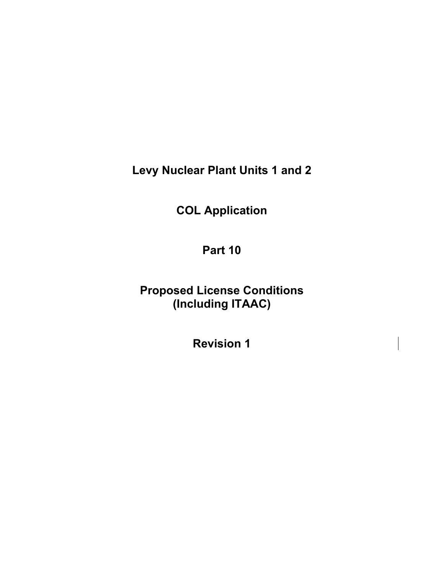**Levy Nuclear Plant Units 1 and 2** 

**COL Application** 

**Part 10** 

**Proposed License Conditions (Including ITAAC)** 

**Revision 1**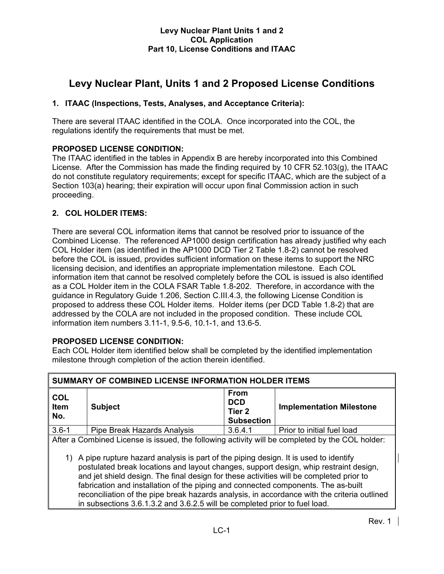# **Levy Nuclear Plant, Units 1 and 2 Proposed License Conditions**

# **1. ITAAC (Inspections, Tests, Analyses, and Acceptance Criteria):**

There are several ITAAC identified in the COLA. Once incorporated into the COL, the regulations identify the requirements that must be met.

# **PROPOSED LICENSE CONDITION:**

The ITAAC identified in the tables in Appendix B are hereby incorporated into this Combined License. After the Commission has made the finding required by 10 CFR 52.103(g), the ITAAC do not constitute regulatory requirements; except for specific ITAAC, which are the subject of a Section 103(a) hearing; their expiration will occur upon final Commission action in such proceeding.

# **2. COL HOLDER ITEMS:**

There are several COL information items that cannot be resolved prior to issuance of the Combined License. The referenced AP1000 design certification has already justified why each COL Holder item (as identified in the AP1000 DCD Tier 2 Table 1.8-2) cannot be resolved before the COL is issued, provides sufficient information on these items to support the NRC licensing decision, and identifies an appropriate implementation milestone. Each COL information item that cannot be resolved completely before the COL is issued is also identified as a COL Holder item in the COLA FSAR Table 1.8-202. Therefore, in accordance with the guidance in Regulatory Guide 1.206, Section C.III.4.3, the following License Condition is proposed to address these COL Holder items. Holder items (per DCD Table 1.8-2) that are addressed by the COLA are not included in the proposed condition. These include COL information item numbers 3.11-1, 9.5-6, 10.1-1, and 13.6-5.

# **PROPOSED LICENSE CONDITION:**

Each COL Holder item identified below shall be completed by the identified implementation milestone through completion of the action therein identified.

| SUMMARY OF COMBINED LICENSE INFORMATION HOLDER ITEMS                                                                                                                                                                                                                                                                                                                                                                                                                                                                                                                                                                                            |                             |                                                                     |                                 |  |  |
|-------------------------------------------------------------------------------------------------------------------------------------------------------------------------------------------------------------------------------------------------------------------------------------------------------------------------------------------------------------------------------------------------------------------------------------------------------------------------------------------------------------------------------------------------------------------------------------------------------------------------------------------------|-----------------------------|---------------------------------------------------------------------|---------------------------------|--|--|
| <b>COL</b><br><b>Item</b><br>No.                                                                                                                                                                                                                                                                                                                                                                                                                                                                                                                                                                                                                | <b>Subject</b>              | <b>From</b><br><b>DCD</b><br>Tier <sub>2</sub><br><b>Subsection</b> | <b>Implementation Milestone</b> |  |  |
| $3.6 - 1$                                                                                                                                                                                                                                                                                                                                                                                                                                                                                                                                                                                                                                       | Pipe Break Hazards Analysis | 3.6.4.1                                                             | Prior to initial fuel load      |  |  |
| After a Combined License is issued, the following activity will be completed by the COL holder:<br>1) A pipe rupture hazard analysis is part of the piping design. It is used to identify<br>postulated break locations and layout changes, support design, whip restraint design,<br>and jet shield design. The final design for these activities will be completed prior to<br>fabrication and installation of the piping and connected components. The as-built<br>reconciliation of the pipe break hazards analysis, in accordance with the criteria outlined<br>in subsections 3.6.1.3.2 and 3.6.2.5 will be completed prior to fuel load. |                             |                                                                     |                                 |  |  |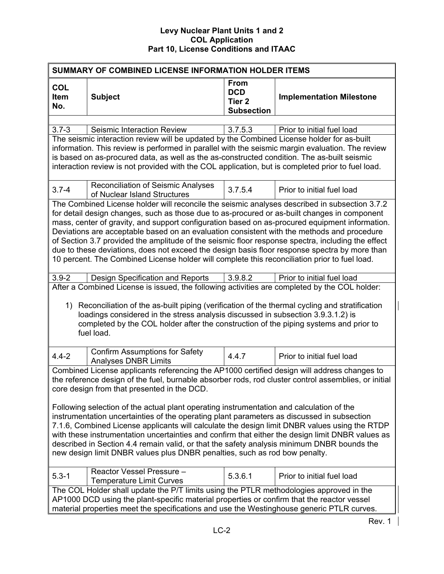| SUMMARY OF COMBINED LICENSE INFORMATION HOLDER ITEMS                                                                                                                                                                                                                                                                                                                                                                                                                                                                                                                    |                                                                                                                                                                                                                                                                                                                                                                                                                                                                                                                                                                                                     |                                                              |                                 |  |  |
|-------------------------------------------------------------------------------------------------------------------------------------------------------------------------------------------------------------------------------------------------------------------------------------------------------------------------------------------------------------------------------------------------------------------------------------------------------------------------------------------------------------------------------------------------------------------------|-----------------------------------------------------------------------------------------------------------------------------------------------------------------------------------------------------------------------------------------------------------------------------------------------------------------------------------------------------------------------------------------------------------------------------------------------------------------------------------------------------------------------------------------------------------------------------------------------------|--------------------------------------------------------------|---------------------------------|--|--|
| <b>COL</b><br>Item<br>No.                                                                                                                                                                                                                                                                                                                                                                                                                                                                                                                                               | <b>Subject</b>                                                                                                                                                                                                                                                                                                                                                                                                                                                                                                                                                                                      | From<br><b>DCD</b><br>Tier <sub>2</sub><br><b>Subsection</b> | <b>Implementation Milestone</b> |  |  |
|                                                                                                                                                                                                                                                                                                                                                                                                                                                                                                                                                                         |                                                                                                                                                                                                                                                                                                                                                                                                                                                                                                                                                                                                     |                                                              |                                 |  |  |
| $3.7 - 3$                                                                                                                                                                                                                                                                                                                                                                                                                                                                                                                                                               | Seismic Interaction Review                                                                                                                                                                                                                                                                                                                                                                                                                                                                                                                                                                          | 3.7.5.3                                                      | Prior to initial fuel load      |  |  |
|                                                                                                                                                                                                                                                                                                                                                                                                                                                                                                                                                                         | The seismic interaction review will be updated by the Combined License holder for as-built<br>information. This review is performed in parallel with the seismic margin evaluation. The review<br>is based on as-procured data, as well as the as-constructed condition. The as-built seismic<br>interaction review is not provided with the COL application, but is completed prior to fuel load.                                                                                                                                                                                                  |                                                              |                                 |  |  |
| $3.7 - 4$                                                                                                                                                                                                                                                                                                                                                                                                                                                                                                                                                               | <b>Reconciliation of Seismic Analyses</b><br>of Nuclear Island Structures<br>The Combined License holder will reconcile the seismic analyses described in subsection 3.7.2                                                                                                                                                                                                                                                                                                                                                                                                                          | 3.7.5.4                                                      | Prior to initial fuel load      |  |  |
|                                                                                                                                                                                                                                                                                                                                                                                                                                                                                                                                                                         | for detail design changes, such as those due to as-procured or as-built changes in component<br>mass, center of gravity, and support configuration based on as-procured equipment information.<br>Deviations are acceptable based on an evaluation consistent with the methods and procedure<br>of Section 3.7 provided the amplitude of the seismic floor response spectra, including the effect<br>due to these deviations, does not exceed the design basis floor response spectra by more than<br>10 percent. The Combined License holder will complete this reconciliation prior to fuel load. |                                                              |                                 |  |  |
| $3.9 - 2$                                                                                                                                                                                                                                                                                                                                                                                                                                                                                                                                                               | Design Specification and Reports<br>After a Combined License is issued, the following activities are completed by the COL holder:                                                                                                                                                                                                                                                                                                                                                                                                                                                                   | 3.9.8.2                                                      | Prior to initial fuel load      |  |  |
|                                                                                                                                                                                                                                                                                                                                                                                                                                                                                                                                                                         | 1) Reconciliation of the as-built piping (verification of the thermal cycling and stratification<br>loadings considered in the stress analysis discussed in subsection 3.9.3.1.2) is<br>completed by the COL holder after the construction of the piping systems and prior to<br>fuel load.                                                                                                                                                                                                                                                                                                         |                                                              |                                 |  |  |
| $4.4 - 2$                                                                                                                                                                                                                                                                                                                                                                                                                                                                                                                                                               | <b>Confirm Assumptions for Safety</b><br><b>Analyses DNBR Limits</b>                                                                                                                                                                                                                                                                                                                                                                                                                                                                                                                                | 4.4.7                                                        | Prior to initial fuel load      |  |  |
|                                                                                                                                                                                                                                                                                                                                                                                                                                                                                                                                                                         | Combined License applicants referencing the AP1000 certified design will address changes to<br>the reference design of the fuel, burnable absorber rods, rod cluster control assemblies, or initial<br>core design from that presented in the DCD.                                                                                                                                                                                                                                                                                                                                                  |                                                              |                                 |  |  |
| Following selection of the actual plant operating instrumentation and calculation of the<br>instrumentation uncertainties of the operating plant parameters as discussed in subsection<br>7.1.6, Combined License applicants will calculate the design limit DNBR values using the RTDP<br>with these instrumentation uncertainties and confirm that either the design limit DNBR values as<br>described in Section 4.4 remain valid, or that the safety analysis minimum DNBR bounds the<br>new design limit DNBR values plus DNBR penalties, such as rod bow penalty. |                                                                                                                                                                                                                                                                                                                                                                                                                                                                                                                                                                                                     |                                                              |                                 |  |  |
| $5.3 - 1$                                                                                                                                                                                                                                                                                                                                                                                                                                                                                                                                                               | Reactor Vessel Pressure -<br><b>Temperature Limit Curves</b>                                                                                                                                                                                                                                                                                                                                                                                                                                                                                                                                        | 5.3.6.1                                                      | Prior to initial fuel load      |  |  |
|                                                                                                                                                                                                                                                                                                                                                                                                                                                                                                                                                                         | The COL Holder shall update the P/T limits using the PTLR methodologies approved in the<br>AP1000 DCD using the plant-specific material properties or confirm that the reactor vessel<br>material properties meet the specifications and use the Westinghouse generic PTLR curves.                                                                                                                                                                                                                                                                                                                  |                                                              |                                 |  |  |
|                                                                                                                                                                                                                                                                                                                                                                                                                                                                                                                                                                         |                                                                                                                                                                                                                                                                                                                                                                                                                                                                                                                                                                                                     |                                                              | $\mathsf{Rav}$ 1                |  |  |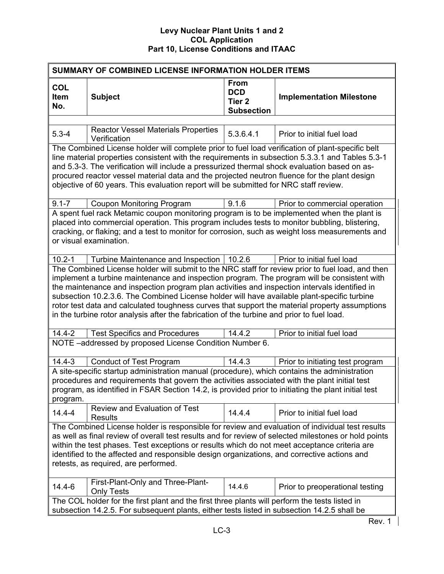| SUMMARY OF COMBINED LICENSE INFORMATION HOLDER ITEMS                                                                                                                                                                                                                                                                                                                                                                                           |                                                                                                                                                                                                                                                                                                                                                                                                                                                                                                                                                                                                 |                                                                     |                                  |  |  |
|------------------------------------------------------------------------------------------------------------------------------------------------------------------------------------------------------------------------------------------------------------------------------------------------------------------------------------------------------------------------------------------------------------------------------------------------|-------------------------------------------------------------------------------------------------------------------------------------------------------------------------------------------------------------------------------------------------------------------------------------------------------------------------------------------------------------------------------------------------------------------------------------------------------------------------------------------------------------------------------------------------------------------------------------------------|---------------------------------------------------------------------|----------------------------------|--|--|
| <b>COL</b><br>Item<br>No.                                                                                                                                                                                                                                                                                                                                                                                                                      | <b>Subject</b>                                                                                                                                                                                                                                                                                                                                                                                                                                                                                                                                                                                  | <b>From</b><br><b>DCD</b><br>Tier <sub>2</sub><br><b>Subsection</b> | <b>Implementation Milestone</b>  |  |  |
|                                                                                                                                                                                                                                                                                                                                                                                                                                                |                                                                                                                                                                                                                                                                                                                                                                                                                                                                                                                                                                                                 |                                                                     |                                  |  |  |
| $5.3 - 4$                                                                                                                                                                                                                                                                                                                                                                                                                                      | <b>Reactor Vessel Materials Properties</b><br>Verification                                                                                                                                                                                                                                                                                                                                                                                                                                                                                                                                      | 5.3.6.4.1                                                           | Prior to initial fuel load       |  |  |
|                                                                                                                                                                                                                                                                                                                                                                                                                                                | The Combined License holder will complete prior to fuel load verification of plant-specific belt<br>line material properties consistent with the requirements in subsection 5.3.3.1 and Tables 5.3-1<br>and 5.3-3. The verification will include a pressurized thermal shock evaluation based on as-<br>procured reactor vessel material data and the projected neutron fluence for the plant design<br>objective of 60 years. This evaluation report will be submitted for NRC staff review.                                                                                                   |                                                                     |                                  |  |  |
| $9.1 - 7$                                                                                                                                                                                                                                                                                                                                                                                                                                      | <b>Coupon Monitoring Program</b>                                                                                                                                                                                                                                                                                                                                                                                                                                                                                                                                                                | 9.1.6                                                               | Prior to commercial operation    |  |  |
|                                                                                                                                                                                                                                                                                                                                                                                                                                                | A spent fuel rack Metamic coupon monitoring program is to be implemented when the plant is<br>placed into commercial operation. This program includes tests to monitor bubbling, blistering,<br>cracking, or flaking; and a test to monitor for corrosion, such as weight loss measurements and<br>or visual examination.                                                                                                                                                                                                                                                                       |                                                                     |                                  |  |  |
| $10.2 - 1$                                                                                                                                                                                                                                                                                                                                                                                                                                     | Turbine Maintenance and Inspection   10.2.6                                                                                                                                                                                                                                                                                                                                                                                                                                                                                                                                                     |                                                                     | Prior to initial fuel load       |  |  |
|                                                                                                                                                                                                                                                                                                                                                                                                                                                | The Combined License holder will submit to the NRC staff for review prior to fuel load, and then<br>implement a turbine maintenance and inspection program. The program will be consistent with<br>the maintenance and inspection program plan activities and inspection intervals identified in<br>subsection 10.2.3.6. The Combined License holder will have available plant-specific turbine<br>rotor test data and calculated toughness curves that support the material property assumptions<br>in the turbine rotor analysis after the fabrication of the turbine and prior to fuel load. |                                                                     |                                  |  |  |
| $14.4 - 2$                                                                                                                                                                                                                                                                                                                                                                                                                                     | <b>Test Specifics and Procedures</b>                                                                                                                                                                                                                                                                                                                                                                                                                                                                                                                                                            | 14.4.2                                                              | Prior to initial fuel load       |  |  |
|                                                                                                                                                                                                                                                                                                                                                                                                                                                | NOTE -addressed by proposed License Condition Number 6.                                                                                                                                                                                                                                                                                                                                                                                                                                                                                                                                         |                                                                     |                                  |  |  |
| $14.4 - 3$                                                                                                                                                                                                                                                                                                                                                                                                                                     | <b>Conduct of Test Program</b>                                                                                                                                                                                                                                                                                                                                                                                                                                                                                                                                                                  | 14.4.3                                                              | Prior to initiating test program |  |  |
| A site-specific startup administration manual (procedure), which contains the administration<br>procedures and requirements that govern the activities associated with the plant initial test<br>program, as identified in FSAR Section 14.2, is provided prior to initiating the plant initial test<br>program.                                                                                                                               |                                                                                                                                                                                                                                                                                                                                                                                                                                                                                                                                                                                                 |                                                                     |                                  |  |  |
| $14.4 - 4$                                                                                                                                                                                                                                                                                                                                                                                                                                     | Review and Evaluation of Test<br><b>Results</b>                                                                                                                                                                                                                                                                                                                                                                                                                                                                                                                                                 | 14.4.4                                                              | Prior to initial fuel load       |  |  |
| The Combined License holder is responsible for review and evaluation of individual test results<br>as well as final review of overall test results and for review of selected milestones or hold points<br>within the test phases. Test exceptions or results which do not meet acceptance criteria are<br>identified to the affected and responsible design organizations, and corrective actions and<br>retests, as required, are performed. |                                                                                                                                                                                                                                                                                                                                                                                                                                                                                                                                                                                                 |                                                                     |                                  |  |  |
| $14.4 - 6$                                                                                                                                                                                                                                                                                                                                                                                                                                     | First-Plant-Only and Three-Plant-<br><b>Only Tests</b>                                                                                                                                                                                                                                                                                                                                                                                                                                                                                                                                          | 14.4.6                                                              | Prior to preoperational testing  |  |  |
|                                                                                                                                                                                                                                                                                                                                                                                                                                                | The COL holder for the first plant and the first three plants will perform the tests listed in<br>subsection 14.2.5. For subsequent plants, either tests listed in subsection 14.2.5 shall be                                                                                                                                                                                                                                                                                                                                                                                                   |                                                                     |                                  |  |  |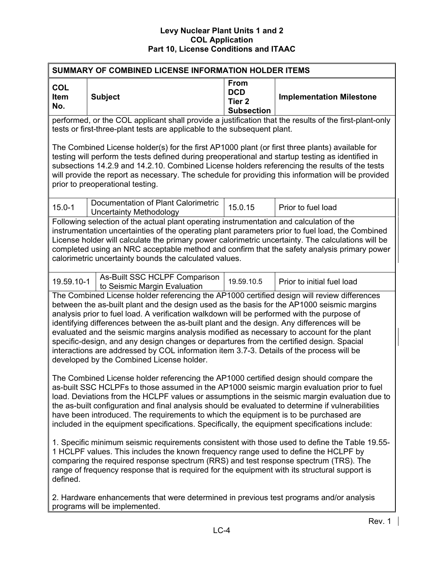| SUMMARY OF COMBINED LICENSE INFORMATION HOLDER ITEMS                                                                                                                                                                                                                                                                                                                                                                                                                                                                                                                                                                                                                                                                    |                                                                                                                                                                                                                                                                                                                                                                                                                                                             |                                                                     |                                 |  |
|-------------------------------------------------------------------------------------------------------------------------------------------------------------------------------------------------------------------------------------------------------------------------------------------------------------------------------------------------------------------------------------------------------------------------------------------------------------------------------------------------------------------------------------------------------------------------------------------------------------------------------------------------------------------------------------------------------------------------|-------------------------------------------------------------------------------------------------------------------------------------------------------------------------------------------------------------------------------------------------------------------------------------------------------------------------------------------------------------------------------------------------------------------------------------------------------------|---------------------------------------------------------------------|---------------------------------|--|
| <b>COL</b><br><b>Item</b><br>No.                                                                                                                                                                                                                                                                                                                                                                                                                                                                                                                                                                                                                                                                                        | <b>Subject</b>                                                                                                                                                                                                                                                                                                                                                                                                                                              | <b>From</b><br><b>DCD</b><br>Tier <sub>2</sub><br><b>Subsection</b> | <b>Implementation Milestone</b> |  |
|                                                                                                                                                                                                                                                                                                                                                                                                                                                                                                                                                                                                                                                                                                                         | performed, or the COL applicant shall provide a justification that the results of the first-plant-only                                                                                                                                                                                                                                                                                                                                                      |                                                                     |                                 |  |
|                                                                                                                                                                                                                                                                                                                                                                                                                                                                                                                                                                                                                                                                                                                         | tests or first-three-plant tests are applicable to the subsequent plant.                                                                                                                                                                                                                                                                                                                                                                                    |                                                                     |                                 |  |
|                                                                                                                                                                                                                                                                                                                                                                                                                                                                                                                                                                                                                                                                                                                         | The Combined License holder(s) for the first AP1000 plant (or first three plants) available for<br>testing will perform the tests defined during preoperational and startup testing as identified in<br>subsections 14.2.9 and 14.2.10. Combined License holders referencing the results of the tests<br>will provide the report as necessary. The schedule for providing this information will be provided<br>prior to preoperational testing.             |                                                                     |                                 |  |
| $15.0 - 1$                                                                                                                                                                                                                                                                                                                                                                                                                                                                                                                                                                                                                                                                                                              | Documentation of Plant Calorimetric<br><b>Uncertainty Methodology</b>                                                                                                                                                                                                                                                                                                                                                                                       | 15.0.15                                                             | Prior to fuel load              |  |
|                                                                                                                                                                                                                                                                                                                                                                                                                                                                                                                                                                                                                                                                                                                         | Following selection of the actual plant operating instrumentation and calculation of the<br>instrumentation uncertainties of the operating plant parameters prior to fuel load, the Combined<br>License holder will calculate the primary power calorimetric uncertainty. The calculations will be<br>completed using an NRC acceptable method and confirm that the safety analysis primary power<br>calorimetric uncertainty bounds the calculated values. |                                                                     |                                 |  |
| 19.59.10-1                                                                                                                                                                                                                                                                                                                                                                                                                                                                                                                                                                                                                                                                                                              | As-Built SSC HCLPF Comparison<br>to Seismic Margin Evaluation                                                                                                                                                                                                                                                                                                                                                                                               | 19.59.10.5                                                          | Prior to initial fuel load      |  |
| The Combined License holder referencing the AP1000 certified design will review differences<br>between the as-built plant and the design used as the basis for the AP1000 seismic margins<br>analysis prior to fuel load. A verification walkdown will be performed with the purpose of<br>identifying differences between the as-built plant and the design. Any differences will be<br>evaluated and the seismic margins analysis modified as necessary to account for the plant<br>specific-design, and any design changes or departures from the certified design. Spacial<br>interactions are addressed by COL information item 3.7-3. Details of the process will be<br>developed by the Combined License holder. |                                                                                                                                                                                                                                                                                                                                                                                                                                                             |                                                                     |                                 |  |
| The Combined License holder referencing the AP1000 certified design should compare the<br>as-built SSC HCLPFs to those assumed in the AP1000 seismic margin evaluation prior to fuel<br>load. Deviations from the HCLPF values or assumptions in the seismic margin evaluation due to<br>the as-built configuration and final analysis should be evaluated to determine if vulnerabilities<br>have been introduced. The requirements to which the equipment is to be purchased are<br>included in the equipment specifications. Specifically, the equipment specifications include:                                                                                                                                     |                                                                                                                                                                                                                                                                                                                                                                                                                                                             |                                                                     |                                 |  |
| 1. Specific minimum seismic requirements consistent with those used to define the Table 19.55-<br>1 HCLPF values. This includes the known frequency range used to define the HCLPF by<br>comparing the required response spectrum (RRS) and test response spectrum (TRS). The<br>range of frequency response that is required for the equipment with its structural support is<br>defined.                                                                                                                                                                                                                                                                                                                              |                                                                                                                                                                                                                                                                                                                                                                                                                                                             |                                                                     |                                 |  |
| 2. Hardware enhancements that were determined in previous test programs and/or analysis<br>programs will be implemented.                                                                                                                                                                                                                                                                                                                                                                                                                                                                                                                                                                                                |                                                                                                                                                                                                                                                                                                                                                                                                                                                             |                                                                     |                                 |  |
|                                                                                                                                                                                                                                                                                                                                                                                                                                                                                                                                                                                                                                                                                                                         |                                                                                                                                                                                                                                                                                                                                                                                                                                                             |                                                                     | $D_{\Omega V}$ 1                |  |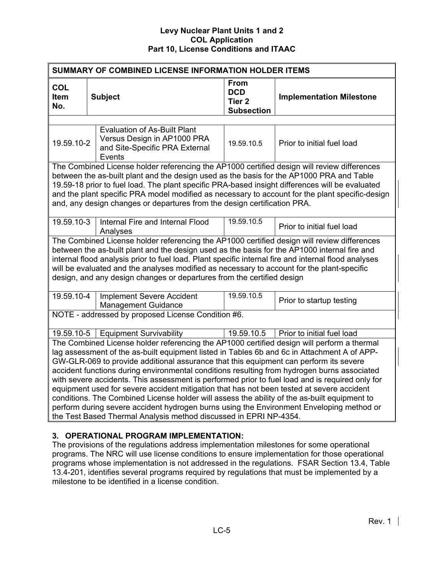| SUMMARY OF COMBINED LICENSE INFORMATION HOLDER ITEMS                                                                                                                                                                                                                                                                                                                                                                                                                                                                                                                                                                                                                                                                                                                                                                                               |                                                                                                                |                                                                     |                                 |  |
|----------------------------------------------------------------------------------------------------------------------------------------------------------------------------------------------------------------------------------------------------------------------------------------------------------------------------------------------------------------------------------------------------------------------------------------------------------------------------------------------------------------------------------------------------------------------------------------------------------------------------------------------------------------------------------------------------------------------------------------------------------------------------------------------------------------------------------------------------|----------------------------------------------------------------------------------------------------------------|---------------------------------------------------------------------|---------------------------------|--|
| <b>COL</b><br><b>Item</b><br>No.                                                                                                                                                                                                                                                                                                                                                                                                                                                                                                                                                                                                                                                                                                                                                                                                                   | <b>Subject</b>                                                                                                 | <b>From</b><br><b>DCD</b><br>Tier <sub>2</sub><br><b>Subsection</b> | <b>Implementation Milestone</b> |  |
|                                                                                                                                                                                                                                                                                                                                                                                                                                                                                                                                                                                                                                                                                                                                                                                                                                                    |                                                                                                                |                                                                     |                                 |  |
| 19.59.10-2                                                                                                                                                                                                                                                                                                                                                                                                                                                                                                                                                                                                                                                                                                                                                                                                                                         | <b>Evaluation of As-Built Plant</b><br>Versus Design in AP1000 PRA<br>and Site-Specific PRA External<br>Events | 19.59.10.5                                                          | Prior to initial fuel load      |  |
| The Combined License holder referencing the AP1000 certified design will review differences<br>between the as-built plant and the design used as the basis for the AP1000 PRA and Table<br>19.59-18 prior to fuel load. The plant specific PRA-based insight differences will be evaluated<br>and the plant specific PRA model modified as necessary to account for the plant specific-design<br>and, any design changes or departures from the design certification PRA.                                                                                                                                                                                                                                                                                                                                                                          |                                                                                                                |                                                                     |                                 |  |
| 19.59.10-3                                                                                                                                                                                                                                                                                                                                                                                                                                                                                                                                                                                                                                                                                                                                                                                                                                         | Internal Fire and Internal Flood<br>Analyses                                                                   | 19.59.10.5                                                          | Prior to initial fuel load      |  |
| The Combined License holder referencing the AP1000 certified design will review differences<br>between the as-built plant and the design used as the basis for the AP1000 internal fire and<br>internal flood analysis prior to fuel load. Plant specific internal fire and internal flood analyses<br>will be evaluated and the analyses modified as necessary to account for the plant-specific<br>design, and any design changes or departures from the certified design                                                                                                                                                                                                                                                                                                                                                                        |                                                                                                                |                                                                     |                                 |  |
| 19.59.10-4                                                                                                                                                                                                                                                                                                                                                                                                                                                                                                                                                                                                                                                                                                                                                                                                                                         | <b>Implement Severe Accident</b><br><b>Management Guidance</b>                                                 | 19.59.10.5                                                          | Prior to startup testing        |  |
|                                                                                                                                                                                                                                                                                                                                                                                                                                                                                                                                                                                                                                                                                                                                                                                                                                                    | NOTE - addressed by proposed License Condition #6.                                                             |                                                                     |                                 |  |
| 19.59.10-5                                                                                                                                                                                                                                                                                                                                                                                                                                                                                                                                                                                                                                                                                                                                                                                                                                         | Equipment Survivability                                                                                        | 19.59.10.5                                                          | Prior to initial fuel load      |  |
| The Combined License holder referencing the AP1000 certified design will perform a thermal<br>lag assessment of the as-built equipment listed in Tables 6b and 6c in Attachment A of APP-<br>GW-GLR-069 to provide additional assurance that this equipment can perform its severe<br>accident functions during environmental conditions resulting from hydrogen burns associated<br>with severe accidents. This assessment is performed prior to fuel load and is required only for<br>equipment used for severe accident mitigation that has not been tested at severe accident<br>conditions. The Combined License holder will assess the ability of the as-built equipment to<br>perform during severe accident hydrogen burns using the Environment Enveloping method or<br>the Test Based Thermal Analysis method discussed in EPRI NP-4354. |                                                                                                                |                                                                     |                                 |  |

# **3. OPERATIONAL PROGRAM IMPLEMENTATION:**

The provisions of the regulations address implementation milestones for some operational programs. The NRC will use license conditions to ensure implementation for those operational programs whose implementation is not addressed in the regulations. FSAR Section 13.4, Table 13.4-201, identifies several programs required by regulations that must be implemented by a milestone to be identified in a license condition.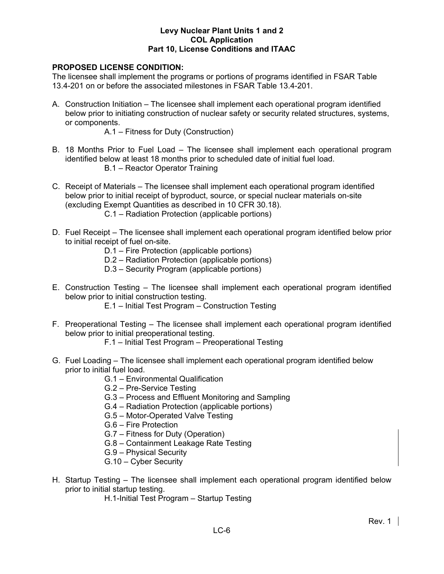### **PROPOSED LICENSE CONDITION:**

The licensee shall implement the programs or portions of programs identified in FSAR Table 13.4-201 on or before the associated milestones in FSAR Table 13.4-201.

A. Construction Initiation – The licensee shall implement each operational program identified below prior to initiating construction of nuclear safety or security related structures, systems, or components.

A.1 – Fitness for Duty (Construction)

- B. 18 Months Prior to Fuel Load The licensee shall implement each operational program identified below at least 18 months prior to scheduled date of initial fuel load. B.1 – Reactor Operator Training
- C. Receipt of Materials The licensee shall implement each operational program identified below prior to initial receipt of byproduct, source, or special nuclear materials on-site (excluding Exempt Quantities as described in 10 CFR 30.18).
	- C.1 Radiation Protection (applicable portions)
- D. Fuel Receipt The licensee shall implement each operational program identified below prior to initial receipt of fuel on-site.
	- D.1 Fire Protection (applicable portions)
	- D.2 Radiation Protection (applicable portions)
	- D.3 Security Program (applicable portions)
- E. Construction Testing The licensee shall implement each operational program identified below prior to initial construction testing.
	- E.1 Initial Test Program Construction Testing
- F. Preoperational Testing The licensee shall implement each operational program identified below prior to initial preoperational testing.
	- F.1 Initial Test Program Preoperational Testing
- G. Fuel Loading The licensee shall implement each operational program identified below prior to initial fuel load.
	- G.1 Environmental Qualification
	- G.2 Pre-Service Testing
	- G.3 Process and Effluent Monitoring and Sampling
	- G.4 Radiation Protection (applicable portions)
	- G.5 Motor-Operated Valve Testing
	- G.6 Fire Protection
	- G.7 Fitness for Duty (Operation)
	- G.8 Containment Leakage Rate Testing
	- G.9 Physical Security
	- G.10 Cyber Security
- H. Startup Testing The licensee shall implement each operational program identified below prior to initial startup testing.
	- H.1-Initial Test Program Startup Testing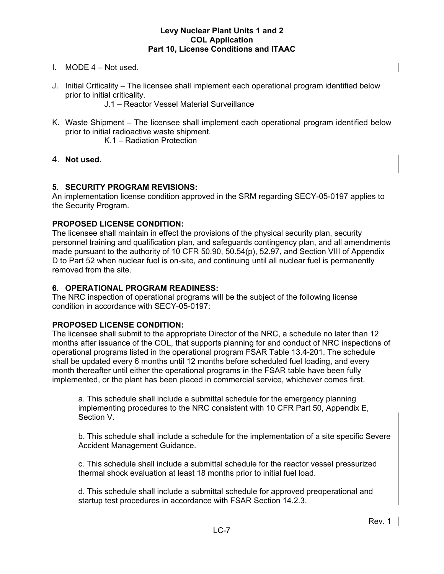- I. MODE 4 Not used.
- J. Initial Criticality The licensee shall implement each operational program identified below prior to initial criticality.

J.1 – Reactor Vessel Material Surveillance

K. Waste Shipment – The licensee shall implement each operational program identified below prior to initial radioactive waste shipment.

K.1 – Radiation Protection

# 4. **Not used.**

# **5. SECURITY PROGRAM REVISIONS:**

An implementation license condition approved in the SRM regarding SECY-05-0197 applies to the Security Program.

# **PROPOSED LICENSE CONDITION:**

The licensee shall maintain in effect the provisions of the physical security plan, security personnel training and qualification plan, and safeguards contingency plan, and all amendments made pursuant to the authority of 10 CFR 50.90, 50.54(p), 52.97, and Section VIII of Appendix D to Part 52 when nuclear fuel is on-site, and continuing until all nuclear fuel is permanently removed from the site.

## **6. OPERATIONAL PROGRAM READINESS:**

The NRC inspection of operational programs will be the subject of the following license condition in accordance with SECY-05-0197:

# **PROPOSED LICENSE CONDITION:**

The licensee shall submit to the appropriate Director of the NRC, a schedule no later than 12 months after issuance of the COL, that supports planning for and conduct of NRC inspections of operational programs listed in the operational program FSAR Table 13.4-201. The schedule shall be updated every 6 months until 12 months before scheduled fuel loading, and every month thereafter until either the operational programs in the FSAR table have been fully implemented, or the plant has been placed in commercial service, whichever comes first.

a. This schedule shall include a submittal schedule for the emergency planning implementing procedures to the NRC consistent with 10 CFR Part 50, Appendix E, Section V.

b. This schedule shall include a schedule for the implementation of a site specific Severe Accident Management Guidance.

c. This schedule shall include a submittal schedule for the reactor vessel pressurized thermal shock evaluation at least 18 months prior to initial fuel load.

d. This schedule shall include a submittal schedule for approved preoperational and startup test procedures in accordance with FSAR Section 14.2.3.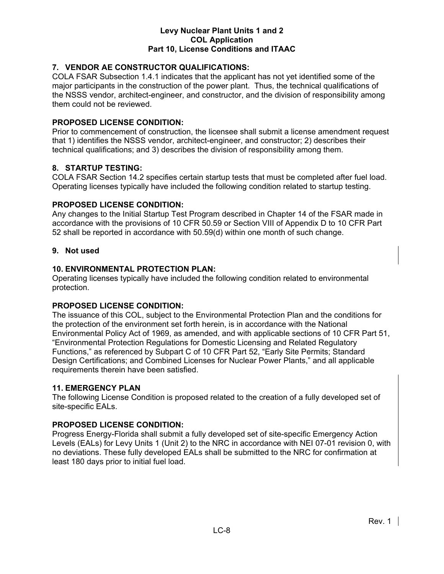# **7. VENDOR AE CONSTRUCTOR QUALIFICATIONS:**

COLA FSAR Subsection 1.4.1 indicates that the applicant has not yet identified some of the major participants in the construction of the power plant. Thus, the technical qualifications of the NSSS vendor, architect-engineer, and constructor, and the division of responsibility among them could not be reviewed.

## **PROPOSED LICENSE CONDITION:**

Prior to commencement of construction, the licensee shall submit a license amendment request that 1) identifies the NSSS vendor, architect-engineer, and constructor; 2) describes their technical qualifications; and 3) describes the division of responsibility among them.

#### **8. STARTUP TESTING:**

COLA FSAR Section 14.2 specifies certain startup tests that must be completed after fuel load. Operating licenses typically have included the following condition related to startup testing.

#### **PROPOSED LICENSE CONDITION:**

Any changes to the Initial Startup Test Program described in Chapter 14 of the FSAR made in accordance with the provisions of 10 CFR 50.59 or Section VIII of Appendix D to 10 CFR Part 52 shall be reported in accordance with 50.59(d) within one month of such change.

#### **9. Not used**

#### **10. ENVIRONMENTAL PROTECTION PLAN:**

Operating licenses typically have included the following condition related to environmental protection.

#### **PROPOSED LICENSE CONDITION:**

The issuance of this COL, subject to the Environmental Protection Plan and the conditions for the protection of the environment set forth herein, is in accordance with the National Environmental Policy Act of 1969, as amended, and with applicable sections of 10 CFR Part 51, "Environmental Protection Regulations for Domestic Licensing and Related Regulatory Functions," as referenced by Subpart C of 10 CFR Part 52, "Early Site Permits; Standard Design Certifications; and Combined Licenses for Nuclear Power Plants," and all applicable requirements therein have been satisfied.

#### **11. EMERGENCY PLAN**

The following License Condition is proposed related to the creation of a fully developed set of site-specific EALs.

#### **PROPOSED LICENSE CONDITION:**

Progress Energy-Florida shall submit a fully developed set of site-specific Emergency Action Levels (EALs) for Levy Units 1 (Unit 2) to the NRC in accordance with NEI 07-01 revision 0, with no deviations. These fully developed EALs shall be submitted to the NRC for confirmation at least 180 days prior to initial fuel load.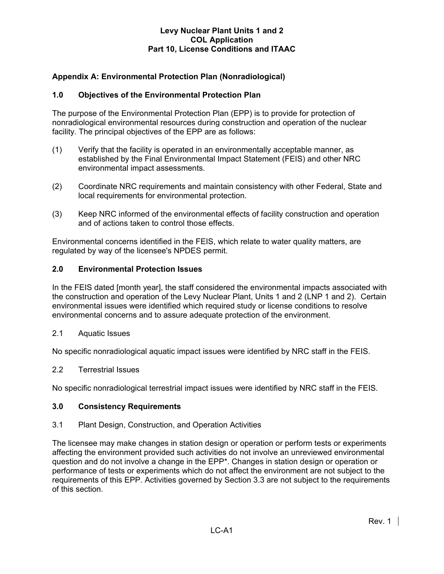# **Appendix A: Environmental Protection Plan (Nonradiological)**

#### **1.0 Objectives of the Environmental Protection Plan**

The purpose of the Environmental Protection Plan (EPP) is to provide for protection of nonradiological environmental resources during construction and operation of the nuclear facility. The principal objectives of the EPP are as follows:

- (1) Verify that the facility is operated in an environmentally acceptable manner, as established by the Final Environmental Impact Statement (FEIS) and other NRC environmental impact assessments.
- (2) Coordinate NRC requirements and maintain consistency with other Federal, State and local requirements for environmental protection.
- (3) Keep NRC informed of the environmental effects of facility construction and operation and of actions taken to control those effects.

Environmental concerns identified in the FEIS, which relate to water quality matters, are regulated by way of the licensee's NPDES permit.

#### **2.0 Environmental Protection Issues**

In the FEIS dated [month year], the staff considered the environmental impacts associated with the construction and operation of the Levy Nuclear Plant, Units 1 and 2 (LNP 1 and 2). Certain environmental issues were identified which required study or license conditions to resolve environmental concerns and to assure adequate protection of the environment.

2.1 Aquatic Issues

No specific nonradiological aquatic impact issues were identified by NRC staff in the FEIS.

2.2 Terrestrial Issues

No specific nonradiological terrestrial impact issues were identified by NRC staff in the FEIS.

#### **3.0 Consistency Requirements**

3.1 Plant Design, Construction, and Operation Activities

The licensee may make changes in station design or operation or perform tests or experiments affecting the environment provided such activities do not involve an unreviewed environmental question and do not involve a change in the EPP\*. Changes in station design or operation or performance of tests or experiments which do not affect the environment are not subject to the requirements of this EPP. Activities governed by Section 3.3 are not subject to the requirements of this section.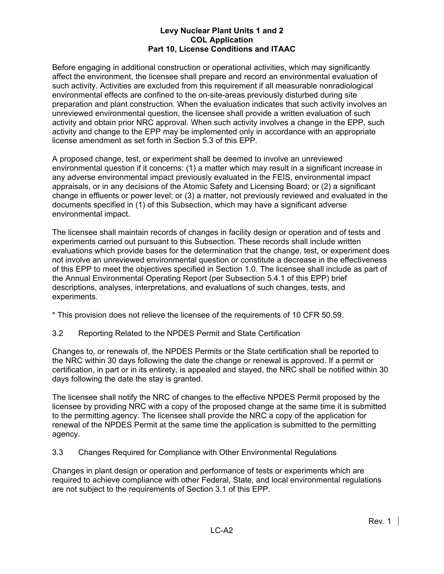Before engaging in additional construction or operational activities, which may significantly affect the environment, the licensee shall prepare and record an environmental evaluation of such activity. Activities are excluded from this requirement if all measurable nonradiological environmental effects are confined to the on-site-areas previously disturbed during site preparation and plant construction. When the evaluation indicates that such activity involves an unreviewed environmental question, the licensee shall provide a written evaluation of such activity and obtain prior NRC approval. When such activity involves a change in the EPP, such activity and change to the EPP may be implemented only in accordance with an appropriate license amendment as set forth in Section 5.3 of this EPP.

A proposed change, test, or experiment shall be deemed to involve an unreviewed environmental question if it concerns: (1) a matter which may result in a significant increase in any adverse environmental impact previously evaluated in the FEIS, environmental impact appraisals, or in any decisions of the Atomic Safety and Licensing Board; or (2) a significant change in effluents or power level; or (3) a matter, not previously reviewed and evaluated in the documents specified in (1) of this Subsection, which may have a significant adverse environmental impact.

The licensee shall maintain records of changes in facility design or operation and of tests and experiments carried out pursuant to this Subsection. These records shall include written evaluations which provide bases for the determination that the change, test, or experiment does not involve an unreviewed environmental question or constitute a decrease in the effectiveness of this EPP to meet the objectives specified in Section 1.0. The licensee shall include as part of the Annual Environmental Operating Report (per Subsection 5.4.1 of this EPP) brief descriptions, analyses, interpretations, and evaluations of such changes, tests, and experiments.

\* This provision does not relieve the licensee of the requirements of 10 CFR 50.59.

3.2 Reporting Related to the NPDES Permit and State Certification

Changes to, or renewals of, the NPDES Permits or the State certification shall be reported to the NRC within 30 days following the date the change or renewal is approved. If a permit or certification, in part or in its entirety, is appealed and stayed, the NRC shall be notified within 30 days following the date the stay is granted.

The licensee shall notify the NRC of changes to the effective NPDES Permit proposed by the licensee by providing NRC with a copy of the proposed change at the same time it is submitted to the permitting agency. The licensee shall provide the NRC a copy of the application for renewal of the NPDES Permit at the same time the application is submitted to the permitting agency.

3.3 Changes Required for Compliance with Other Environmental Regulations

Changes in plant design or operation and performance of tests or experiments which are required to achieve compliance with other Federal, State, and local environmental regulations are not subject to the requirements of Section 3.1 of this EPP.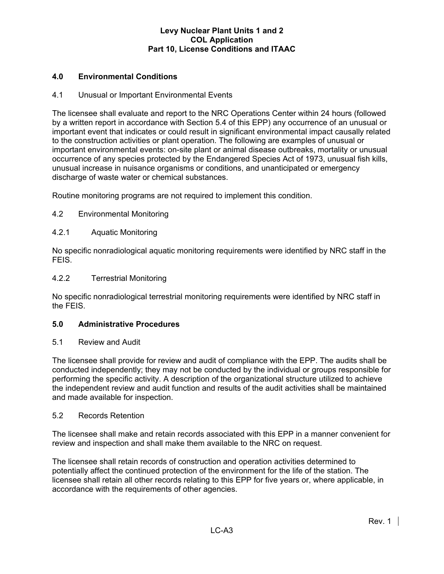# **4.0 Environmental Conditions**

#### 4.1 Unusual or Important Environmental Events

The licensee shall evaluate and report to the NRC Operations Center within 24 hours (followed by a written report in accordance with Section 5.4 of this EPP) any occurrence of an unusual or important event that indicates or could result in significant environmental impact causally related to the construction activities or plant operation. The following are examples of unusual or important environmental events: on-site plant or animal disease outbreaks, mortality or unusual occurrence of any species protected by the Endangered Species Act of 1973, unusual fish kills, unusual increase in nuisance organisms or conditions, and unanticipated or emergency discharge of waste water or chemical substances.

Routine monitoring programs are not required to implement this condition.

#### 4.2 Environmental Monitoring

#### 4.2.1 Aquatic Monitoring

No specific nonradiological aquatic monitoring requirements were identified by NRC staff in the FEIS.

#### 4.2.2 Terrestrial Monitoring

No specific nonradiological terrestrial monitoring requirements were identified by NRC staff in the FEIS.

#### **5.0 Administrative Procedures**

#### 5.1 Review and Audit

The licensee shall provide for review and audit of compliance with the EPP. The audits shall be conducted independently; they may not be conducted by the individual or groups responsible for performing the specific activity. A description of the organizational structure utilized to achieve the independent review and audit function and results of the audit activities shall be maintained and made available for inspection.

#### 5.2 Records Retention

The licensee shall make and retain records associated with this EPP in a manner convenient for review and inspection and shall make them available to the NRC on request.

The licensee shall retain records of construction and operation activities determined to potentially affect the continued protection of the environment for the life of the station. The licensee shall retain all other records relating to this EPP for five years or, where applicable, in accordance with the requirements of other agencies.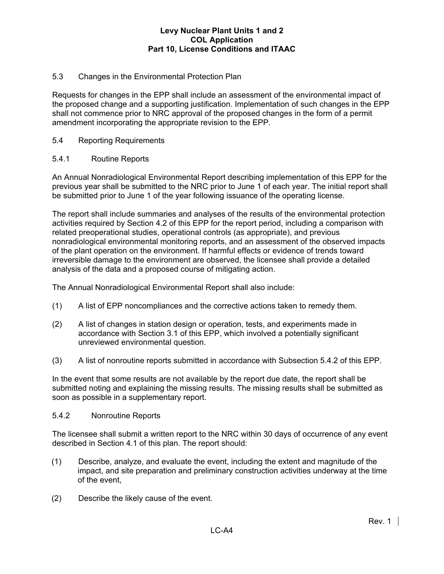# 5.3 Changes in the Environmental Protection Plan

Requests for changes in the EPP shall include an assessment of the environmental impact of the proposed change and a supporting justification. Implementation of such changes in the EPP shall not commence prior to NRC approval of the proposed changes in the form of a permit amendment incorporating the appropriate revision to the EPP.

# 5.4 Reporting Requirements

#### 5.4.1 Routine Reports

An Annual Nonradiological Environmental Report describing implementation of this EPP for the previous year shall be submitted to the NRC prior to June 1 of each year. The initial report shall be submitted prior to June 1 of the year following issuance of the operating license.

The report shall include summaries and analyses of the results of the environmental protection activities required by Section 4.2 of this EPP for the report period, including a comparison with related preoperational studies, operational controls (as appropriate), and previous nonradiological environmental monitoring reports, and an assessment of the observed impacts of the plant operation on the environment. If harmful effects or evidence of trends toward irreversible damage to the environment are observed, the licensee shall provide a detailed analysis of the data and a proposed course of mitigating action.

The Annual Nonradiological Environmental Report shall also include:

- (1) A list of EPP noncompliances and the corrective actions taken to remedy them.
- (2) A list of changes in station design or operation, tests, and experiments made in accordance with Section 3.1 of this EPP, which involved a potentially significant unreviewed environmental question.
- (3) A list of nonroutine reports submitted in accordance with Subsection 5.4.2 of this EPP.

In the event that some results are not available by the report due date, the report shall be submitted noting and explaining the missing results. The missing results shall be submitted as soon as possible in a supplementary report.

#### 5.4.2 Nonroutine Reports

The licensee shall submit a written report to the NRC within 30 days of occurrence of any event described in Section 4.1 of this plan. The report should:

- (1) Describe, analyze, and evaluate the event, including the extent and magnitude of the impact, and site preparation and preliminary construction activities underway at the time of the event,
- (2) Describe the likely cause of the event.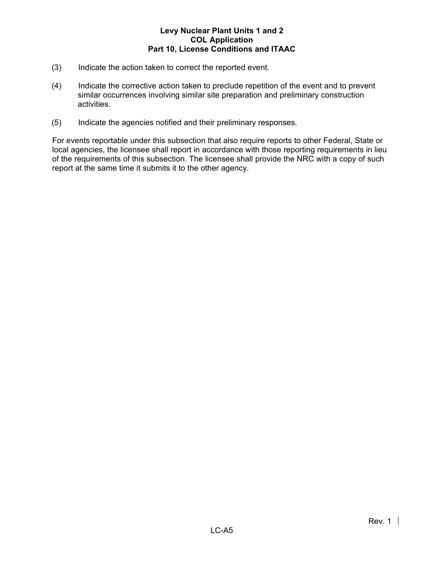- (3) Indicate the action taken to correct the reported event.
- (4) Indicate the corrective action taken to preclude repetition of the event and to prevent similar occurrences involving similar site preparation and preliminary construction activities.
- (5) Indicate the agencies notified and their preliminary responses.

For events reportable under this subsection that also require reports to other Federal, State or local agencies, the licensee shall report in accordance with those reporting requirements in lieu of the requirements of this subsection. The licensee shall provide the NRC with a copy of such report at the same time it submits it to the other agency.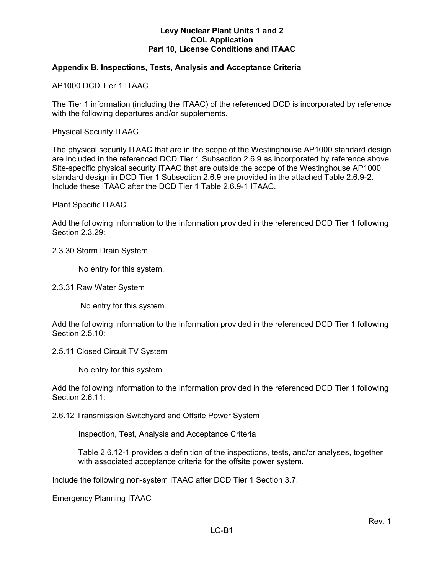## **Appendix B. Inspections, Tests, Analysis and Acceptance Criteria**

AP1000 DCD Tier 1 ITAAC

The Tier 1 information (including the ITAAC) of the referenced DCD is incorporated by reference with the following departures and/or supplements.

Physical Security ITAAC

The physical security ITAAC that are in the scope of the Westinghouse AP1000 standard design are included in the referenced DCD Tier 1 Subsection 2.6.9 as incorporated by reference above. Site-specific physical security ITAAC that are outside the scope of the Westinghouse AP1000 standard design in DCD Tier 1 Subsection 2.6.9 are provided in the attached Table 2.6.9-2. Include these ITAAC after the DCD Tier 1 Table 2.6.9-1 ITAAC.

Plant Specific ITAAC

Add the following information to the information provided in the referenced DCD Tier 1 following Section 2.3.29:

#### 2.3.30 Storm Drain System

No entry for this system.

#### 2.3.31 Raw Water System

No entry for this system.

Add the following information to the information provided in the referenced DCD Tier 1 following Section 2.5.10:

2.5.11 Closed Circuit TV System

No entry for this system.

Add the following information to the information provided in the referenced DCD Tier 1 following Section 2.6.11:

2.6.12 Transmission Switchyard and Offsite Power System

Inspection, Test, Analysis and Acceptance Criteria

Table 2.6.12-1 provides a definition of the inspections, tests, and/or analyses, together with associated acceptance criteria for the offsite power system.

Include the following non-system ITAAC after DCD Tier 1 Section 3.7.

Emergency Planning ITAAC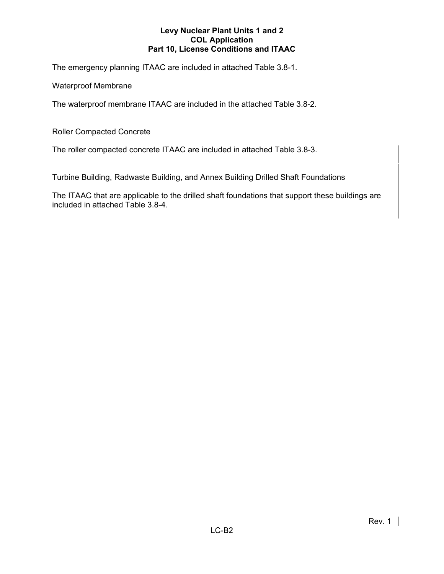The emergency planning ITAAC are included in attached Table 3.8-1.

Waterproof Membrane

The waterproof membrane ITAAC are included in the attached Table 3.8-2.

Roller Compacted Concrete

The roller compacted concrete ITAAC are included in attached Table 3.8-3.

Turbine Building, Radwaste Building, and Annex Building Drilled Shaft Foundations

The ITAAC that are applicable to the drilled shaft foundations that support these buildings are included in attached Table 3.8-4.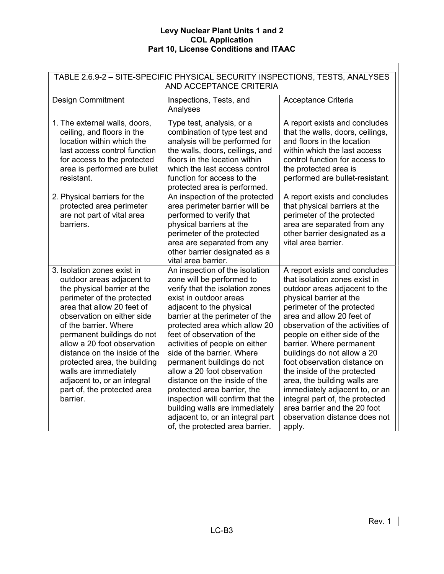| TABLE 2.6.9-2 - SITE-SPECIFIC PHYSICAL SECURITY INSPECTIONS, TESTS, ANALYSES<br>AND ACCEPTANCE CRITERIA                                                                                                                                                                                                                                                                                                                                     |                                                                                                                                                                                                                                                                                                                                                                                                                                                                                                                                                                                                  |                                                                                                                                                                                                                                                                                                                                                                                                                                                                                                                                                                     |  |  |
|---------------------------------------------------------------------------------------------------------------------------------------------------------------------------------------------------------------------------------------------------------------------------------------------------------------------------------------------------------------------------------------------------------------------------------------------|--------------------------------------------------------------------------------------------------------------------------------------------------------------------------------------------------------------------------------------------------------------------------------------------------------------------------------------------------------------------------------------------------------------------------------------------------------------------------------------------------------------------------------------------------------------------------------------------------|---------------------------------------------------------------------------------------------------------------------------------------------------------------------------------------------------------------------------------------------------------------------------------------------------------------------------------------------------------------------------------------------------------------------------------------------------------------------------------------------------------------------------------------------------------------------|--|--|
| <b>Design Commitment</b>                                                                                                                                                                                                                                                                                                                                                                                                                    | Inspections, Tests, and<br>Analyses                                                                                                                                                                                                                                                                                                                                                                                                                                                                                                                                                              | Acceptance Criteria                                                                                                                                                                                                                                                                                                                                                                                                                                                                                                                                                 |  |  |
| 1. The external walls, doors,<br>ceiling, and floors in the<br>location within which the<br>last access control function<br>for access to the protected<br>area is performed are bullet<br>resistant.                                                                                                                                                                                                                                       | Type test, analysis, or a<br>combination of type test and<br>analysis will be performed for<br>the walls, doors, ceilings, and<br>floors in the location within<br>which the last access control<br>function for access to the<br>protected area is performed.                                                                                                                                                                                                                                                                                                                                   | A report exists and concludes<br>that the walls, doors, ceilings,<br>and floors in the location<br>within which the last access<br>control function for access to<br>the protected area is<br>performed are bullet-resistant.                                                                                                                                                                                                                                                                                                                                       |  |  |
| 2. Physical barriers for the<br>protected area perimeter<br>are not part of vital area<br>barriers.                                                                                                                                                                                                                                                                                                                                         | An inspection of the protected<br>area perimeter barrier will be<br>performed to verify that<br>physical barriers at the<br>perimeter of the protected<br>area are separated from any<br>other barrier designated as a<br>vital area barrier.                                                                                                                                                                                                                                                                                                                                                    | A report exists and concludes<br>that physical barriers at the<br>perimeter of the protected<br>area are separated from any<br>other barrier designated as a<br>vital area barrier.                                                                                                                                                                                                                                                                                                                                                                                 |  |  |
| 3. Isolation zones exist in<br>outdoor areas adjacent to<br>the physical barrier at the<br>perimeter of the protected<br>area that allow 20 feet of<br>observation on either side<br>of the barrier. Where<br>permanent buildings do not<br>allow a 20 foot observation<br>distance on the inside of the<br>protected area, the building<br>walls are immediately<br>adjacent to, or an integral<br>part of, the protected area<br>barrier. | An inspection of the isolation<br>zone will be performed to<br>verify that the isolation zones<br>exist in outdoor areas<br>adjacent to the physical<br>barrier at the perimeter of the<br>protected area which allow 20<br>feet of observation of the<br>activities of people on either<br>side of the barrier. Where<br>permanent buildings do not<br>allow a 20 foot observation<br>distance on the inside of the<br>protected area barrier, the<br>inspection will confirm that the<br>building walls are immediately<br>adjacent to, or an integral part<br>of, the protected area barrier. | A report exists and concludes<br>that isolation zones exist in<br>outdoor areas adjacent to the<br>physical barrier at the<br>perimeter of the protected<br>area and allow 20 feet of<br>observation of the activities of<br>people on either side of the<br>barrier. Where permanent<br>buildings do not allow a 20<br>foot observation distance on<br>the inside of the protected<br>area, the building walls are<br>immediately adjacent to, or an<br>integral part of, the protected<br>area barrier and the 20 foot<br>observation distance does not<br>apply. |  |  |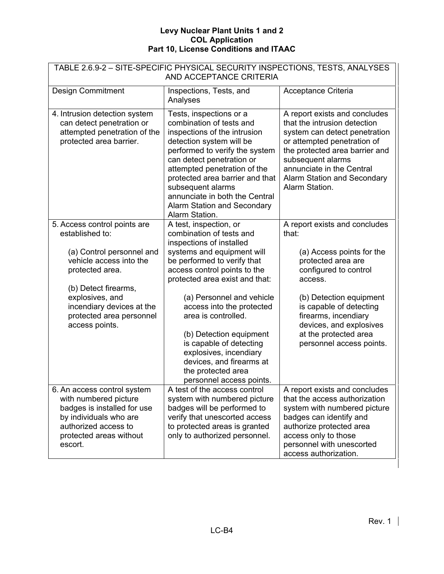| TABLE 2.6.9-2 - SITE-SPECIFIC PHYSICAL SECURITY INSPECTIONS, TESTS, ANALYSES<br>AND ACCEPTANCE CRITERIA                                                                     |                                                                                                                                                                                                                                                                                                                                                           |                                                                                                                                                                                                                                                                    |  |  |
|-----------------------------------------------------------------------------------------------------------------------------------------------------------------------------|-----------------------------------------------------------------------------------------------------------------------------------------------------------------------------------------------------------------------------------------------------------------------------------------------------------------------------------------------------------|--------------------------------------------------------------------------------------------------------------------------------------------------------------------------------------------------------------------------------------------------------------------|--|--|
| Design Commitment                                                                                                                                                           | Inspections, Tests, and<br>Analyses                                                                                                                                                                                                                                                                                                                       | Acceptance Criteria                                                                                                                                                                                                                                                |  |  |
| 4. Intrusion detection system<br>can detect penetration or<br>attempted penetration of the<br>protected area barrier.                                                       | Tests, inspections or a<br>combination of tests and<br>inspections of the intrusion<br>detection system will be<br>performed to verify the system<br>can detect penetration or<br>attempted penetration of the<br>protected area barrier and that<br>subsequent alarms<br>annunciate in both the Central<br>Alarm Station and Secondary<br>Alarm Station. | A report exists and concludes<br>that the intrusion detection<br>system can detect penetration<br>or attempted penetration of<br>the protected area barrier and<br>subsequent alarms<br>annunciate in the Central<br>Alarm Station and Secondary<br>Alarm Station. |  |  |
| 5. Access control points are<br>established to:                                                                                                                             | A test, inspection, or<br>combination of tests and<br>inspections of installed                                                                                                                                                                                                                                                                            | A report exists and concludes<br>that:                                                                                                                                                                                                                             |  |  |
| (a) Control personnel and<br>vehicle access into the<br>protected area.<br>(b) Detect firearms,                                                                             | systems and equipment will<br>be performed to verify that<br>access control points to the<br>protected area exist and that:                                                                                                                                                                                                                               | (a) Access points for the<br>protected area are<br>configured to control<br>access.                                                                                                                                                                                |  |  |
| explosives, and<br>incendiary devices at the<br>protected area personnel<br>access points.                                                                                  | (a) Personnel and vehicle<br>access into the protected<br>area is controlled.                                                                                                                                                                                                                                                                             | (b) Detection equipment<br>is capable of detecting<br>firearms, incendiary<br>devices, and explosives                                                                                                                                                              |  |  |
|                                                                                                                                                                             | (b) Detection equipment<br>is capable of detecting<br>explosives, incendiary<br>devices, and firearms at<br>the protected area<br>personnel access points.                                                                                                                                                                                                | at the protected area<br>personnel access points.                                                                                                                                                                                                                  |  |  |
| 6. An access control system<br>with numbered picture<br>badges is installed for use<br>by individuals who are<br>authorized access to<br>protected areas without<br>escort. | A test of the access control<br>system with numbered picture<br>badges will be performed to<br>verify that unescorted access<br>to protected areas is granted<br>only to authorized personnel.                                                                                                                                                            | A report exists and concludes<br>that the access authorization<br>system with numbered picture<br>badges can identify and<br>authorize protected area<br>access only to those<br>personnel with unescorted<br>access authorization.                                |  |  |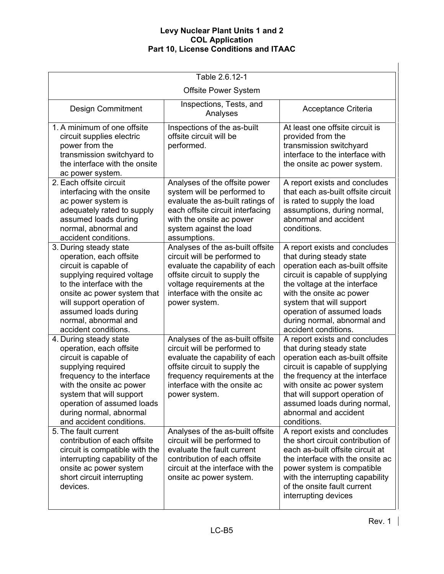| Table 2.6.12-1                                                                                                                                                                                                                                                                                                                                                                                |                                                                                                                                                                                                                                                                                                                                                                                                                                                                                                                            |
|-----------------------------------------------------------------------------------------------------------------------------------------------------------------------------------------------------------------------------------------------------------------------------------------------------------------------------------------------------------------------------------------------|----------------------------------------------------------------------------------------------------------------------------------------------------------------------------------------------------------------------------------------------------------------------------------------------------------------------------------------------------------------------------------------------------------------------------------------------------------------------------------------------------------------------------|
| <b>Offsite Power System</b>                                                                                                                                                                                                                                                                                                                                                                   |                                                                                                                                                                                                                                                                                                                                                                                                                                                                                                                            |
| Inspections, Tests, and<br>Analyses                                                                                                                                                                                                                                                                                                                                                           | Acceptance Criteria                                                                                                                                                                                                                                                                                                                                                                                                                                                                                                        |
| Inspections of the as-built<br>offsite circuit will be<br>performed.                                                                                                                                                                                                                                                                                                                          | At least one offsite circuit is<br>provided from the<br>transmission switchyard<br>interface to the interface with<br>the onsite ac power system.                                                                                                                                                                                                                                                                                                                                                                          |
| Analyses of the offsite power<br>system will be performed to<br>evaluate the as-built ratings of<br>each offsite circuit interfacing<br>with the onsite ac power<br>system against the load<br>assumptions.                                                                                                                                                                                   | A report exists and concludes<br>that each as-built offsite circuit<br>is rated to supply the load<br>assumptions, during normal,<br>abnormal and accident<br>conditions.                                                                                                                                                                                                                                                                                                                                                  |
| Analyses of the as-built offsite<br>circuit will be performed to<br>evaluate the capability of each<br>offsite circuit to supply the<br>voltage requirements at the<br>interface with the onsite ac<br>power system.                                                                                                                                                                          | A report exists and concludes<br>that during steady state<br>operation each as-built offsite<br>circuit is capable of supplying<br>the voltage at the interface<br>with the onsite ac power<br>system that will support<br>operation of assumed loads<br>during normal, abnormal and<br>accident conditions.                                                                                                                                                                                                               |
| Analyses of the as-built offsite<br>circuit will be performed to<br>evaluate the capability of each<br>offsite circuit to supply the<br>frequency requirements at the<br>interface with the onsite ac<br>power system.<br>Analyses of the as-built offsite<br>circuit will be performed to<br>evaluate the fault current<br>contribution of each offsite<br>circuit at the interface with the | A report exists and concludes<br>that during steady state<br>operation each as-built offsite<br>circuit is capable of supplying<br>the frequency at the interface<br>with onsite ac power system<br>that will support operation of<br>assumed loads during normal,<br>abnormal and accident<br>conditions.<br>A report exists and concludes<br>the short circuit contribution of<br>each as-built offsite circuit at<br>the interface with the onsite ac<br>power system is compatible<br>with the interrupting capability |
|                                                                                                                                                                                                                                                                                                                                                                                               | onsite ac power system.                                                                                                                                                                                                                                                                                                                                                                                                                                                                                                    |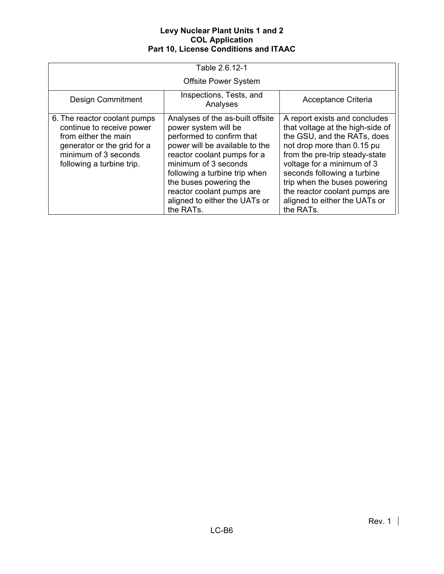| Table 2.6.12-1                                                                                                                                                        |                                                                                                                                                                                                                                                                                                                      |                                                                                                                                                                                                                                                                                                                                              |  |  |
|-----------------------------------------------------------------------------------------------------------------------------------------------------------------------|----------------------------------------------------------------------------------------------------------------------------------------------------------------------------------------------------------------------------------------------------------------------------------------------------------------------|----------------------------------------------------------------------------------------------------------------------------------------------------------------------------------------------------------------------------------------------------------------------------------------------------------------------------------------------|--|--|
|                                                                                                                                                                       | <b>Offsite Power System</b>                                                                                                                                                                                                                                                                                          |                                                                                                                                                                                                                                                                                                                                              |  |  |
| <b>Design Commitment</b>                                                                                                                                              | Acceptance Criteria                                                                                                                                                                                                                                                                                                  |                                                                                                                                                                                                                                                                                                                                              |  |  |
| 6. The reactor coolant pumps<br>continue to receive power<br>from either the main<br>generator or the grid for a<br>minimum of 3 seconds<br>following a turbine trip. | Analyses of the as-built offsite<br>power system will be<br>performed to confirm that<br>power will be available to the<br>reactor coolant pumps for a<br>minimum of 3 seconds<br>following a turbine trip when<br>the buses powering the<br>reactor coolant pumps are<br>aligned to either the UATs or<br>the RATs. | A report exists and concludes<br>that voltage at the high-side of<br>the GSU, and the RATs, does<br>not drop more than 0.15 pu<br>from the pre-trip steady-state<br>voltage for a minimum of 3<br>seconds following a turbine<br>trip when the buses powering<br>the reactor coolant pumps are<br>aligned to either the UATs or<br>the RATs. |  |  |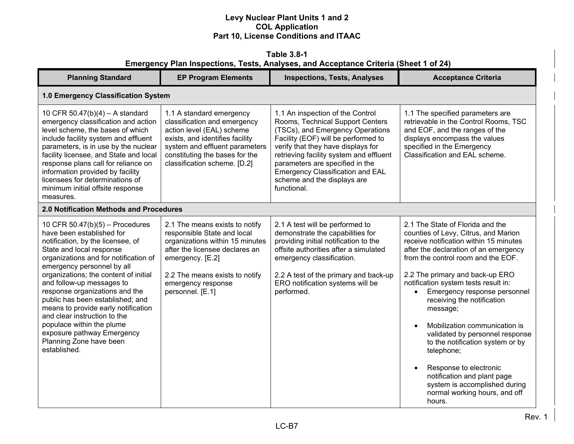| <b>Table 3.8-1</b><br>Emergency Plan Inspections, Tests, Analyses, and Acceptance Criteria (Sheet 1 of 24)                                                                                                                                                                                                                                                                                                                                                                                                                      |                                                                                                                                                                                                                                    |                                                                                                                                                                                                                                                                                                                                                              |                                                                                                                                                                                                                                                                                                                                                                                                                                                                                                                                                                                                                                |  |  |
|---------------------------------------------------------------------------------------------------------------------------------------------------------------------------------------------------------------------------------------------------------------------------------------------------------------------------------------------------------------------------------------------------------------------------------------------------------------------------------------------------------------------------------|------------------------------------------------------------------------------------------------------------------------------------------------------------------------------------------------------------------------------------|--------------------------------------------------------------------------------------------------------------------------------------------------------------------------------------------------------------------------------------------------------------------------------------------------------------------------------------------------------------|--------------------------------------------------------------------------------------------------------------------------------------------------------------------------------------------------------------------------------------------------------------------------------------------------------------------------------------------------------------------------------------------------------------------------------------------------------------------------------------------------------------------------------------------------------------------------------------------------------------------------------|--|--|
| <b>Planning Standard</b>                                                                                                                                                                                                                                                                                                                                                                                                                                                                                                        | <b>EP Program Elements</b>                                                                                                                                                                                                         | <b>Inspections, Tests, Analyses</b>                                                                                                                                                                                                                                                                                                                          | <b>Acceptance Criteria</b>                                                                                                                                                                                                                                                                                                                                                                                                                                                                                                                                                                                                     |  |  |
| 1.0 Emergency Classification System                                                                                                                                                                                                                                                                                                                                                                                                                                                                                             |                                                                                                                                                                                                                                    |                                                                                                                                                                                                                                                                                                                                                              |                                                                                                                                                                                                                                                                                                                                                                                                                                                                                                                                                                                                                                |  |  |
| 10 CFR $50.47(b)(4) - A standard$<br>emergency classification and action<br>level scheme, the bases of which<br>include facility system and effluent<br>parameters, is in use by the nuclear<br>facility licensee, and State and local<br>response plans call for reliance on<br>information provided by facility<br>licensees for determinations of<br>minimum initial offsite response<br>measures.                                                                                                                           | 1.1 A standard emergency<br>classification and emergency<br>action level (EAL) scheme<br>exists, and identifies facility<br>system and effluent parameters<br>constituting the bases for the<br>classification scheme. [D.2]       | 1.1 An inspection of the Control<br>Rooms, Technical Support Centers<br>(TSCs), and Emergency Operations<br>Facility (EOF) will be performed to<br>verify that they have displays for<br>retrieving facility system and effluent<br>parameters are specified in the<br><b>Emergency Classification and EAL</b><br>scheme and the displays are<br>functional. | 1.1 The specified parameters are<br>retrievable in the Control Rooms, TSC<br>and EOF, and the ranges of the<br>displays encompass the values<br>specified in the Emergency<br>Classification and EAL scheme.                                                                                                                                                                                                                                                                                                                                                                                                                   |  |  |
| 2.0 Notification Methods and Procedures                                                                                                                                                                                                                                                                                                                                                                                                                                                                                         |                                                                                                                                                                                                                                    |                                                                                                                                                                                                                                                                                                                                                              |                                                                                                                                                                                                                                                                                                                                                                                                                                                                                                                                                                                                                                |  |  |
| 10 CFR $50.47(b)(5)$ – Procedures<br>have been established for<br>notification, by the licensee, of<br>State and local response<br>organizations and for notification of<br>emergency personnel by all<br>organizations; the content of initial<br>and follow-up messages to<br>response organizations and the<br>public has been established; and<br>means to provide early notification<br>and clear instruction to the<br>populace within the plume<br>exposure pathway Emergency<br>Planning Zone have been<br>established. | 2.1 The means exists to notify<br>responsible State and local<br>organizations within 15 minutes<br>after the licensee declares an<br>emergency. [E.2]<br>2.2 The means exists to notify<br>emergency response<br>personnel. [E.1] | 2.1 A test will be performed to<br>demonstrate the capabilities for<br>providing initial notification to the<br>offsite authorities after a simulated<br>emergency classification.<br>2.2 A test of the primary and back-up<br>ERO notification systems will be<br>performed.                                                                                | 2.1 The State of Florida and the<br>counties of Levy, Citrus, and Marion<br>receive notification within 15 minutes<br>after the declaration of an emergency<br>from the control room and the EOF.<br>2.2 The primary and back-up ERO<br>notification system tests result in:<br>Emergency response personnel<br>receiving the notification<br>message;<br>Mobilization communication is<br>validated by personnel response<br>to the notification system or by<br>telephone;<br>Response to electronic<br>$\bullet$<br>notification and plant page<br>system is accomplished during<br>normal working hours, and off<br>hours. |  |  |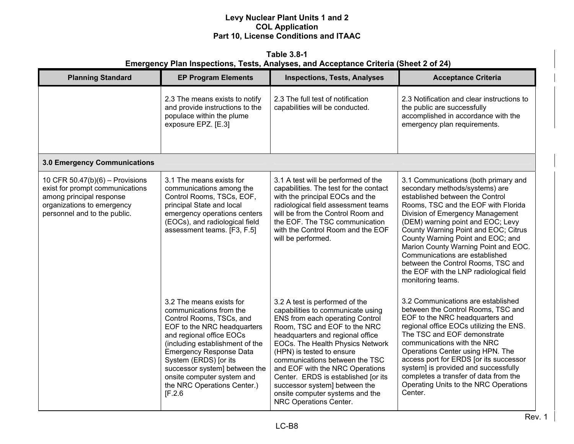**Table 3.8-1 Emergency Plan Inspections, Tests, Analyses, and Acceptance Criteria (Sheet 2 of 24)** 

| <b>Planning Standard</b>                                                                                                                                     | <b>EP Program Elements</b>                                                                                                                                                                                                                                                                                                                        | <b>Inspections, Tests, Analyses</b>                                                                                                                                                                                                                                                                                                                                                                                                                   | <b>Acceptance Criteria</b>                                                                                                                                                                                                                                                                                                                                                                                                                                                             |
|--------------------------------------------------------------------------------------------------------------------------------------------------------------|---------------------------------------------------------------------------------------------------------------------------------------------------------------------------------------------------------------------------------------------------------------------------------------------------------------------------------------------------|-------------------------------------------------------------------------------------------------------------------------------------------------------------------------------------------------------------------------------------------------------------------------------------------------------------------------------------------------------------------------------------------------------------------------------------------------------|----------------------------------------------------------------------------------------------------------------------------------------------------------------------------------------------------------------------------------------------------------------------------------------------------------------------------------------------------------------------------------------------------------------------------------------------------------------------------------------|
|                                                                                                                                                              | 2.3 The means exists to notify<br>and provide instructions to the<br>populace within the plume<br>exposure EPZ. [E.3]                                                                                                                                                                                                                             | 2.3 The full test of notification<br>capabilities will be conducted.                                                                                                                                                                                                                                                                                                                                                                                  | 2.3 Notification and clear instructions to<br>the public are successfully<br>accomplished in accordance with the<br>emergency plan requirements.                                                                                                                                                                                                                                                                                                                                       |
| <b>3.0 Emergency Communications</b>                                                                                                                          |                                                                                                                                                                                                                                                                                                                                                   |                                                                                                                                                                                                                                                                                                                                                                                                                                                       |                                                                                                                                                                                                                                                                                                                                                                                                                                                                                        |
| 10 CFR 50.47(b)(6) - Provisions<br>exist for prompt communications<br>among principal response<br>organizations to emergency<br>personnel and to the public. | 3.1 The means exists for<br>communications among the<br>Control Rooms, TSCs, EOF,<br>principal State and local<br>emergency operations centers<br>(EOCs), and radiological field<br>assessment teams. [F3, F.5]                                                                                                                                   | 3.1 A test will be performed of the<br>capabilities. The test for the contact<br>with the principal EOCs and the<br>radiological field assessment teams<br>will be from the Control Room and<br>the EOF. The TSC communication<br>with the Control Room and the EOF<br>will be performed.                                                                                                                                                             | 3.1 Communications (both primary and<br>secondary methods/systems) are<br>established between the Control<br>Rooms, TSC and the EOF with Florida<br>Division of Emergency Management<br>(DEM) warning point and EOC; Levy<br>County Warning Point and EOC; Citrus<br>County Warning Point and EOC; and<br>Marion County Warning Point and EOC.<br>Communications are established<br>between the Control Rooms, TSC and<br>the EOF with the LNP radiological field<br>monitoring teams. |
|                                                                                                                                                              | 3.2 The means exists for<br>communications from the<br>Control Rooms, TSCs, and<br>EOF to the NRC headquarters<br>and regional office EOCs<br>(including establishment of the<br><b>Emergency Response Data</b><br>System (ERDS) [or its<br>successor system] between the<br>onsite computer system and<br>the NRC Operations Center.)<br>[F.2.6] | 3.2 A test is performed of the<br>capabilities to communicate using<br>ENS from each operating Control<br>Room, TSC and EOF to the NRC<br>headquarters and regional office<br>EOCs. The Health Physics Network<br>(HPN) is tested to ensure<br>communications between the TSC<br>and EOF with the NRC Operations<br>Center. ERDS is established [or its<br>successor system] between the<br>onsite computer systems and the<br>NRC Operations Center. | 3.2 Communications are established<br>between the Control Rooms, TSC and<br>EOF to the NRC headquarters and<br>regional office EOCs utilizing the ENS.<br>The TSC and EOF demonstrate<br>communications with the NRC<br>Operations Center using HPN. The<br>access port for ERDS [or its successor<br>system] is provided and successfully<br>completes a transfer of data from the<br>Operating Units to the NRC Operations<br>Center.                                                |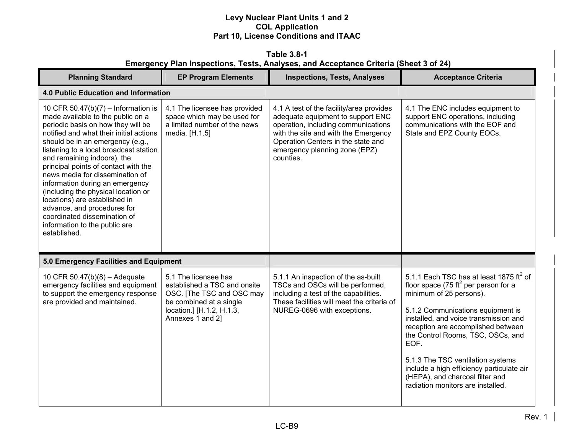| <b>Emergency Plan Inspections, Tests, Analyses, and Acceptance Criteria (Sheet 3 of 24)</b>                                                                                                                                                                                                                                                                                                                                                                                                                                                                                  |                                                                                                                                                               |                                                                                                                                                                                                                                                  |                                                                                                                                                                                                                                                                                                                                                                                                                                                             |  |
|------------------------------------------------------------------------------------------------------------------------------------------------------------------------------------------------------------------------------------------------------------------------------------------------------------------------------------------------------------------------------------------------------------------------------------------------------------------------------------------------------------------------------------------------------------------------------|---------------------------------------------------------------------------------------------------------------------------------------------------------------|--------------------------------------------------------------------------------------------------------------------------------------------------------------------------------------------------------------------------------------------------|-------------------------------------------------------------------------------------------------------------------------------------------------------------------------------------------------------------------------------------------------------------------------------------------------------------------------------------------------------------------------------------------------------------------------------------------------------------|--|
| <b>Planning Standard</b>                                                                                                                                                                                                                                                                                                                                                                                                                                                                                                                                                     | <b>EP Program Elements</b>                                                                                                                                    | <b>Inspections, Tests, Analyses</b>                                                                                                                                                                                                              | <b>Acceptance Criteria</b>                                                                                                                                                                                                                                                                                                                                                                                                                                  |  |
| <b>4.0 Public Education and Information</b>                                                                                                                                                                                                                                                                                                                                                                                                                                                                                                                                  |                                                                                                                                                               |                                                                                                                                                                                                                                                  |                                                                                                                                                                                                                                                                                                                                                                                                                                                             |  |
| 10 CFR 50.47(b)(7) - Information is<br>made available to the public on a<br>periodic basis on how they will be<br>notified and what their initial actions<br>should be in an emergency (e.g.,<br>listening to a local broadcast station<br>and remaining indoors), the<br>principal points of contact with the<br>news media for dissemination of<br>information during an emergency<br>(including the physical location or<br>locations) are established in<br>advance, and procedures for<br>coordinated dissemination of<br>information to the public are<br>established. | 4.1 The licensee has provided<br>space which may be used for<br>a limited number of the news<br>media. [H.1.5]                                                | 4.1 A test of the facility/area provides<br>adequate equipment to support ENC<br>operation, including communications<br>with the site and with the Emergency<br>Operation Centers in the state and<br>emergency planning zone (EPZ)<br>counties. | 4.1 The ENC includes equipment to<br>support ENC operations, including<br>communications with the EOF and<br>State and EPZ County EOCs.                                                                                                                                                                                                                                                                                                                     |  |
| 5.0 Emergency Facilities and Equipment                                                                                                                                                                                                                                                                                                                                                                                                                                                                                                                                       |                                                                                                                                                               |                                                                                                                                                                                                                                                  |                                                                                                                                                                                                                                                                                                                                                                                                                                                             |  |
| 10 CFR 50.47(b)(8) - Adequate<br>emergency facilities and equipment<br>to support the emergency response<br>are provided and maintained.                                                                                                                                                                                                                                                                                                                                                                                                                                     | 5.1 The licensee has<br>established a TSC and onsite<br>OSC. [The TSC and OSC may<br>be combined at a single<br>location.] [H.1.2, H.1.3,<br>Annexes 1 and 2] | 5.1.1 An inspection of the as-built<br>TSCs and OSCs will be performed,<br>including a test of the capabilities.<br>These facilities will meet the criteria of<br>NUREG-0696 with exceptions.                                                    | 5.1.1 Each TSC has at least 1875 $\text{ft}^2$ of<br>floor space (75 ft <sup>2</sup> per person for a<br>minimum of 25 persons).<br>5.1.2 Communications equipment is<br>installed, and voice transmission and<br>reception are accomplished between<br>the Control Rooms, TSC, OSCs, and<br>EOF.<br>5.1.3 The TSC ventilation systems<br>include a high efficiency particulate air<br>(HEPA), and charcoal filter and<br>radiation monitors are installed. |  |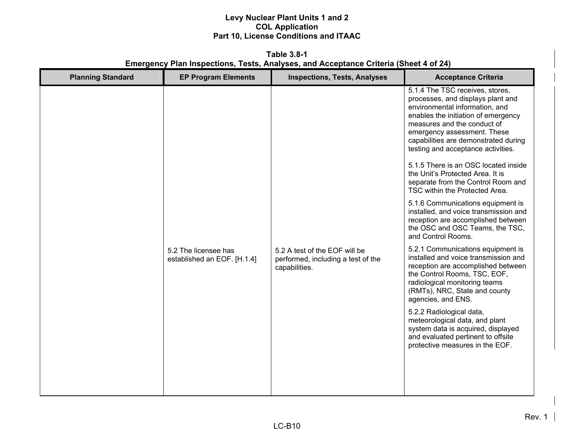**Table 3.8-1 Emergency Plan Inspections, Tests, Analyses, and Acceptance Criteria (Sheet 4 of 24)** 

| <b>Planning Standard</b> | <b>EP Program Elements</b>                          | <b>Inspections, Tests, Analyses</b>                                                  | <b>Acceptance Criteria</b>                                                                                                                                                                                                                                                                                                                                                                                                                                                                                                                                                                                                 |
|--------------------------|-----------------------------------------------------|--------------------------------------------------------------------------------------|----------------------------------------------------------------------------------------------------------------------------------------------------------------------------------------------------------------------------------------------------------------------------------------------------------------------------------------------------------------------------------------------------------------------------------------------------------------------------------------------------------------------------------------------------------------------------------------------------------------------------|
|                          |                                                     |                                                                                      | 5.1.4 The TSC receives, stores,<br>processes, and displays plant and<br>environmental information, and<br>enables the initiation of emergency<br>measures and the conduct of<br>emergency assessment. These<br>capabilities are demonstrated during<br>testing and acceptance activities.<br>5.1.5 There is an OSC located inside<br>the Unit's Protected Area. It is<br>separate from the Control Room and<br>TSC within the Protected Area.<br>5.1.6 Communications equipment is<br>installed, and voice transmission and<br>reception are accomplished between<br>the OSC and OSC Teams, the TSC,<br>and Control Rooms. |
|                          | 5.2 The licensee has<br>established an EOF. [H.1.4] | 5.2 A test of the EOF will be<br>performed, including a test of the<br>capabilities. | 5.2.1 Communications equipment is<br>installed and voice transmission and<br>reception are accomplished between<br>the Control Rooms, TSC, EOF,<br>radiological monitoring teams<br>(RMTs), NRC, State and county<br>agencies, and ENS.<br>5.2.2 Radiological data,<br>meteorological data, and plant<br>system data is acquired, displayed<br>and evaluated pertinent to offsite<br>protective measures in the EOF.                                                                                                                                                                                                       |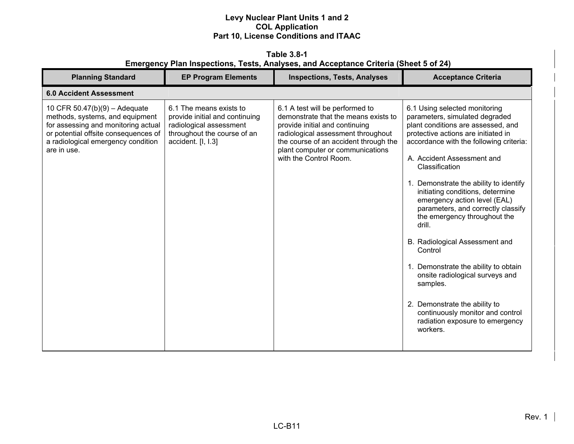**Table 3.8-1 Emergency Plan Inspections, Tests, Analyses, and Acceptance Criteria (Sheet 5 of 24)** 

| <b>Planning Standard</b>                                                                                                                                                                               | <b>EP Program Elements</b>                                                                                                                | <b>Inspections, Tests, Analyses</b>                                                                                                                                                                                                                    | <b>Acceptance Criteria</b>                                                                                                                                                                                                                                                                                                                                                                                                                                                                                                                                                                                                                                                                    |
|--------------------------------------------------------------------------------------------------------------------------------------------------------------------------------------------------------|-------------------------------------------------------------------------------------------------------------------------------------------|--------------------------------------------------------------------------------------------------------------------------------------------------------------------------------------------------------------------------------------------------------|-----------------------------------------------------------------------------------------------------------------------------------------------------------------------------------------------------------------------------------------------------------------------------------------------------------------------------------------------------------------------------------------------------------------------------------------------------------------------------------------------------------------------------------------------------------------------------------------------------------------------------------------------------------------------------------------------|
| <b>6.0 Accident Assessment</b>                                                                                                                                                                         |                                                                                                                                           |                                                                                                                                                                                                                                                        |                                                                                                                                                                                                                                                                                                                                                                                                                                                                                                                                                                                                                                                                                               |
| 10 CFR $50.47(b)(9) -$ Adequate<br>methods, systems, and equipment<br>for assessing and monitoring actual<br>or potential offsite consequences of<br>a radiological emergency condition<br>are in use. | 6.1 The means exists to<br>provide initial and continuing<br>radiological assessment<br>throughout the course of an<br>accident. [I, I.3] | 6.1 A test will be performed to<br>demonstrate that the means exists to<br>provide initial and continuing<br>radiological assessment throughout<br>the course of an accident through the<br>plant computer or communications<br>with the Control Room. | 6.1 Using selected monitoring<br>parameters, simulated degraded<br>plant conditions are assessed, and<br>protective actions are initiated in<br>accordance with the following criteria:<br>A. Accident Assessment and<br>Classification<br>1. Demonstrate the ability to identify<br>initiating conditions, determine<br>emergency action level (EAL)<br>parameters, and correctly classify<br>the emergency throughout the<br>drill.<br>B. Radiological Assessment and<br>Control<br>1. Demonstrate the ability to obtain<br>onsite radiological surveys and<br>samples.<br>2. Demonstrate the ability to<br>continuously monitor and control<br>radiation exposure to emergency<br>workers. |
|                                                                                                                                                                                                        |                                                                                                                                           |                                                                                                                                                                                                                                                        |                                                                                                                                                                                                                                                                                                                                                                                                                                                                                                                                                                                                                                                                                               |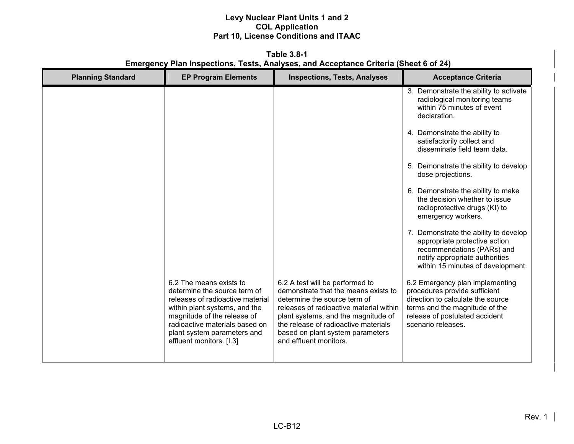**Table 3.8-1 Emergency Plan Inspections, Tests, Analyses, and Acceptance Criteria (Sheet 6 of 24)** 

| <b>Planning Standard</b> | <b>EP Program Elements</b>                                                                                                                                                                                                                               | <b>Inspections, Tests, Analyses</b>                                                                                                                                                                                                                                                             | <b>Acceptance Criteria</b>                                                                                                                                                                      |
|--------------------------|----------------------------------------------------------------------------------------------------------------------------------------------------------------------------------------------------------------------------------------------------------|-------------------------------------------------------------------------------------------------------------------------------------------------------------------------------------------------------------------------------------------------------------------------------------------------|-------------------------------------------------------------------------------------------------------------------------------------------------------------------------------------------------|
|                          |                                                                                                                                                                                                                                                          |                                                                                                                                                                                                                                                                                                 | 3. Demonstrate the ability to activate<br>radiological monitoring teams<br>within 75 minutes of event<br>declaration.                                                                           |
|                          |                                                                                                                                                                                                                                                          |                                                                                                                                                                                                                                                                                                 | 4. Demonstrate the ability to<br>satisfactorily collect and<br>disseminate field team data.                                                                                                     |
|                          |                                                                                                                                                                                                                                                          |                                                                                                                                                                                                                                                                                                 | 5. Demonstrate the ability to develop<br>dose projections.                                                                                                                                      |
|                          |                                                                                                                                                                                                                                                          |                                                                                                                                                                                                                                                                                                 | 6. Demonstrate the ability to make<br>the decision whether to issue<br>radioprotective drugs (KI) to<br>emergency workers.                                                                      |
|                          |                                                                                                                                                                                                                                                          |                                                                                                                                                                                                                                                                                                 | 7. Demonstrate the ability to develop<br>appropriate protective action<br>recommendations (PARs) and<br>notify appropriate authorities<br>within 15 minutes of development.                     |
|                          | 6.2 The means exists to<br>determine the source term of<br>releases of radioactive material<br>within plant systems, and the<br>magnitude of the release of<br>radioactive materials based on<br>plant system parameters and<br>effluent monitors. [I.3] | 6.2 A test will be performed to<br>demonstrate that the means exists to<br>determine the source term of<br>releases of radioactive material within<br>plant systems, and the magnitude of<br>the release of radioactive materials<br>based on plant system parameters<br>and effluent monitors. | 6.2 Emergency plan implementing<br>procedures provide sufficient<br>direction to calculate the source<br>terms and the magnitude of the<br>release of postulated accident<br>scenario releases. |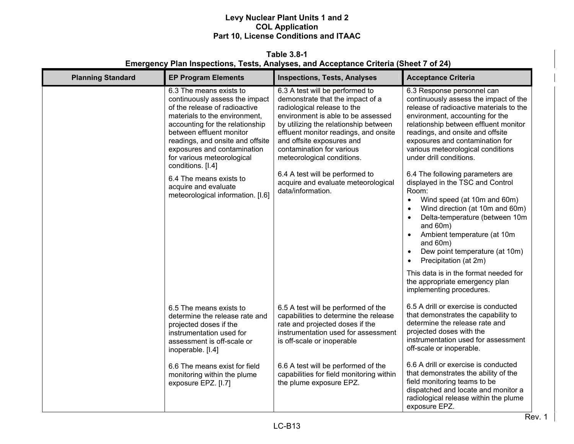**Table 3.8-1 Emergency Plan Inspections, Tests, Analyses, and Acceptance Criteria (Sheet 7 of 24)** 

| <b>Planning Standard</b> | <b>EP Program Elements</b>                                                                                                                                                                                                                                                                                                                                                                               | <b>Inspections, Tests, Analyses</b>                                                                                                                                                                                                                                                                                                                                                                               | <b>Acceptance Criteria</b>                                                                                                                                                                                                                                                                                                                                                                                                                                     |
|--------------------------|----------------------------------------------------------------------------------------------------------------------------------------------------------------------------------------------------------------------------------------------------------------------------------------------------------------------------------------------------------------------------------------------------------|-------------------------------------------------------------------------------------------------------------------------------------------------------------------------------------------------------------------------------------------------------------------------------------------------------------------------------------------------------------------------------------------------------------------|----------------------------------------------------------------------------------------------------------------------------------------------------------------------------------------------------------------------------------------------------------------------------------------------------------------------------------------------------------------------------------------------------------------------------------------------------------------|
|                          | 6.3 The means exists to<br>continuously assess the impact<br>of the release of radioactive<br>materials to the environment.<br>accounting for the relationship<br>between effluent monitor<br>readings, and onsite and offsite<br>exposures and contamination<br>for various meteorological<br>conditions. [I.4]<br>6.4 The means exists to<br>acquire and evaluate<br>meteorological information. [I.6] | 6.3 A test will be performed to<br>demonstrate that the impact of a<br>radiological release to the<br>environment is able to be assessed<br>by utilizing the relationship between<br>effluent monitor readings, and onsite<br>and offsite exposures and<br>contamination for various<br>meteorological conditions.<br>6.4 A test will be performed to<br>acquire and evaluate meteorological<br>data/information. | 6.3 Response personnel can<br>continuously assess the impact of the<br>release of radioactive materials to the<br>environment, accounting for the<br>relationship between effluent monitor<br>readings, and onsite and offsite<br>exposures and contamination for<br>various meteorological conditions<br>under drill conditions.<br>6.4 The following parameters are<br>displayed in the TSC and Control<br>Room:<br>Wind speed (at 10m and 60m)<br>$\bullet$ |
|                          |                                                                                                                                                                                                                                                                                                                                                                                                          |                                                                                                                                                                                                                                                                                                                                                                                                                   | Wind direction (at 10m and 60m)<br>$\bullet$<br>Delta-temperature (between 10m<br>$\bullet$<br>and 60m)<br>Ambient temperature (at 10m<br>and $60m$ )<br>Dew point temperature (at 10m)<br>$\bullet$<br>Precipitation (at 2m)<br>$\bullet$                                                                                                                                                                                                                     |
|                          |                                                                                                                                                                                                                                                                                                                                                                                                          |                                                                                                                                                                                                                                                                                                                                                                                                                   | This data is in the format needed for<br>the appropriate emergency plan<br>implementing procedures.                                                                                                                                                                                                                                                                                                                                                            |
|                          | 6.5 The means exists to<br>determine the release rate and<br>projected doses if the<br>instrumentation used for<br>assessment is off-scale or<br>inoperable. [I.4]                                                                                                                                                                                                                                       | 6.5 A test will be performed of the<br>capabilities to determine the release<br>rate and projected doses if the<br>instrumentation used for assessment<br>is off-scale or inoperable                                                                                                                                                                                                                              | 6.5 A drill or exercise is conducted<br>that demonstrates the capability to<br>determine the release rate and<br>projected doses with the<br>instrumentation used for assessment<br>off-scale or inoperable.                                                                                                                                                                                                                                                   |
|                          | 6.6 The means exist for field<br>monitoring within the plume<br>exposure EPZ. [I.7]                                                                                                                                                                                                                                                                                                                      | 6.6 A test will be performed of the<br>capabilities for field monitoring within<br>the plume exposure EPZ.                                                                                                                                                                                                                                                                                                        | 6.6 A drill or exercise is conducted<br>that demonstrates the ability of the<br>field monitoring teams to be<br>dispatched and locate and monitor a<br>radiological release within the plume<br>exposure EPZ.                                                                                                                                                                                                                                                  |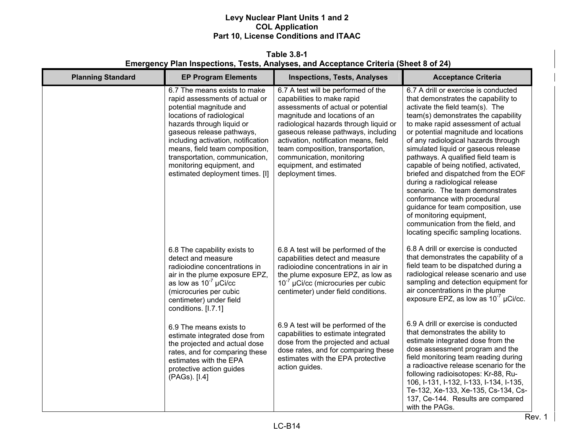**Table 3.8-1 Emergency Plan Inspections, Tests, Analyses, and Acceptance Criteria (Sheet 8 of 24)** 

| <b>Planning Standard</b> | <b>EP Program Elements</b>                                                                                                                                                                                                                                                                                                                                 | <b>Inspections, Tests, Analyses</b>                                                                                                                                                                                                                                                                                                                                                   | <b>Acceptance Criteria</b>                                                                                                                                                                                                                                                                                                                                                                                                                                                                                                                                                                                                                                                                  |
|--------------------------|------------------------------------------------------------------------------------------------------------------------------------------------------------------------------------------------------------------------------------------------------------------------------------------------------------------------------------------------------------|---------------------------------------------------------------------------------------------------------------------------------------------------------------------------------------------------------------------------------------------------------------------------------------------------------------------------------------------------------------------------------------|---------------------------------------------------------------------------------------------------------------------------------------------------------------------------------------------------------------------------------------------------------------------------------------------------------------------------------------------------------------------------------------------------------------------------------------------------------------------------------------------------------------------------------------------------------------------------------------------------------------------------------------------------------------------------------------------|
|                          | 6.7 The means exists to make<br>rapid assessments of actual or<br>potential magnitude and<br>locations of radiological<br>hazards through liquid or<br>gaseous release pathways,<br>including activation, notification<br>means, field team composition,<br>transportation, communication,<br>monitoring equipment, and<br>estimated deployment times. [I] | 6.7 A test will be performed of the<br>capabilities to make rapid<br>assessments of actual or potential<br>magnitude and locations of an<br>radiological hazards through liquid or<br>gaseous release pathways, including<br>activation, notification means, field<br>team composition, transportation,<br>communication, monitoring<br>equipment, and estimated<br>deployment times. | 6.7 A drill or exercise is conducted<br>that demonstrates the capability to<br>activate the field team(s). The<br>team(s) demonstrates the capability<br>to make rapid assessment of actual<br>or potential magnitude and locations<br>of any radiological hazards through<br>simulated liquid or gaseous release<br>pathways. A qualified field team is<br>capable of being notified, activated,<br>briefed and dispatched from the EOF<br>during a radiological release<br>scenario. The team demonstrates<br>conformance with procedural<br>guidance for team composition, use<br>of monitoring equipment,<br>communication from the field, and<br>locating specific sampling locations. |
|                          | 6.8 The capability exists to<br>detect and measure<br>radioiodine concentrations in<br>air in the plume exposure EPZ,<br>as low as $10^{-7}$ µCi/cc<br>(microcuries per cubic<br>centimeter) under field<br>conditions. [I.7.1]                                                                                                                            | 6.8 A test will be performed of the<br>capabilities detect and measure<br>radioiodine concentrations in air in<br>the plume exposure EPZ, as low as<br>$10^{-7}$ µCi/cc (microcuries per cubic<br>centimeter) under field conditions.                                                                                                                                                 | 6.8 A drill or exercise is conducted<br>that demonstrates the capability of a<br>field team to be dispatched during a<br>radiological release scenario and use<br>sampling and detection equipment for<br>air concentrations in the plume<br>exposure EPZ, as low as $10^{-7}$ µCi/cc.                                                                                                                                                                                                                                                                                                                                                                                                      |
|                          | 6.9 The means exists to<br>estimate integrated dose from<br>the projected and actual dose<br>rates, and for comparing these<br>estimates with the EPA<br>protective action guides<br>(PAGs). [I.4]                                                                                                                                                         | 6.9 A test will be performed of the<br>capabilities to estimate integrated<br>dose from the projected and actual<br>dose rates, and for comparing these<br>estimates with the EPA protective<br>action guides.                                                                                                                                                                        | 6.9 A drill or exercise is conducted<br>that demonstrates the ability to<br>estimate integrated dose from the<br>dose assessment program and the<br>field monitoring team reading during<br>a radioactive release scenario for the<br>following radioisotopes: Kr-88, Ru-<br>106, I-131, I-132, I-133, I-134, I-135,<br>Te-132, Xe-133, Xe-135, Cs-134, Cs-<br>137, Ce-144. Results are compared<br>with the PAGs.                                                                                                                                                                                                                                                                          |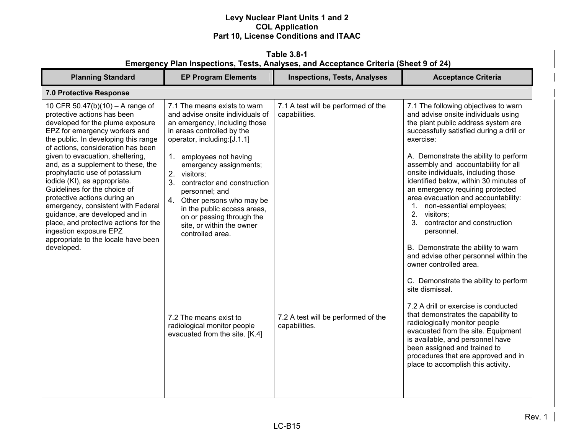**Table 3.8-1 Emergency Plan Inspections, Tests, Analyses, and Acceptance Criteria (Sheet 9 of 24)** 

| <b>Planning Standard</b>                                                                                                                                                                                                                                                                                                                                                                                                                                                                                                                                                                                        | <b>EP Program Elements</b>                                                                                                                                                                                                                                                                                                                                                                                                          | <b>Inspections, Tests, Analyses</b>                  | <b>Acceptance Criteria</b>                                                                                                                                                                                                                                                                                                                                                                                                                                                                                                |
|-----------------------------------------------------------------------------------------------------------------------------------------------------------------------------------------------------------------------------------------------------------------------------------------------------------------------------------------------------------------------------------------------------------------------------------------------------------------------------------------------------------------------------------------------------------------------------------------------------------------|-------------------------------------------------------------------------------------------------------------------------------------------------------------------------------------------------------------------------------------------------------------------------------------------------------------------------------------------------------------------------------------------------------------------------------------|------------------------------------------------------|---------------------------------------------------------------------------------------------------------------------------------------------------------------------------------------------------------------------------------------------------------------------------------------------------------------------------------------------------------------------------------------------------------------------------------------------------------------------------------------------------------------------------|
| 7.0 Protective Response                                                                                                                                                                                                                                                                                                                                                                                                                                                                                                                                                                                         |                                                                                                                                                                                                                                                                                                                                                                                                                                     |                                                      |                                                                                                                                                                                                                                                                                                                                                                                                                                                                                                                           |
| 10 CFR 50.47(b)(10) – A range of<br>protective actions has been<br>developed for the plume exposure<br>EPZ for emergency workers and<br>the public. In developing this range<br>of actions, consideration has been<br>given to evacuation, sheltering,<br>and, as a supplement to these, the<br>prophylactic use of potassium<br>iodide (KI), as appropriate.<br>Guidelines for the choice of<br>protective actions during an<br>emergency, consistent with Federal<br>guidance, are developed and in<br>place, and protective actions for the<br>ingestion exposure EPZ<br>appropriate to the locale have been | 7.1 The means exists to warn<br>and advise onsite individuals of<br>an emergency, including those<br>in areas controlled by the<br>operator, including:[J.1.1]<br>1. employees not having<br>emergency assignments;<br>2. visitors;<br>3. contractor and construction<br>personnel; and<br>4. Other persons who may be<br>in the public access areas,<br>on or passing through the<br>site, or within the owner<br>controlled area. | 7.1 A test will be performed of the<br>capabilities. | 7.1 The following objectives to warn<br>and advise onsite individuals using<br>the plant public address system are<br>successfully satisfied during a drill or<br>exercise:<br>A. Demonstrate the ability to perform<br>assembly and accountability for all<br>onsite individuals, including those<br>identified below, within 30 minutes of<br>an emergency requiring protected<br>area evacuation and accountability:<br>1. non-essential employees;<br>2.<br>visitors;<br>3. contractor and construction<br>personnel. |
| developed.                                                                                                                                                                                                                                                                                                                                                                                                                                                                                                                                                                                                      | 7.2 The means exist to<br>radiological monitor people<br>evacuated from the site. [K.4]                                                                                                                                                                                                                                                                                                                                             | 7.2 A test will be performed of the<br>capabilities. | B. Demonstrate the ability to warn<br>and advise other personnel within the<br>owner controlled area.<br>C. Demonstrate the ability to perform<br>site dismissal.<br>7.2 A drill or exercise is conducted<br>that demonstrates the capability to<br>radiologically monitor people<br>evacuated from the site. Equipment<br>is available, and personnel have<br>been assigned and trained to<br>procedures that are approved and in<br>place to accomplish this activity.                                                  |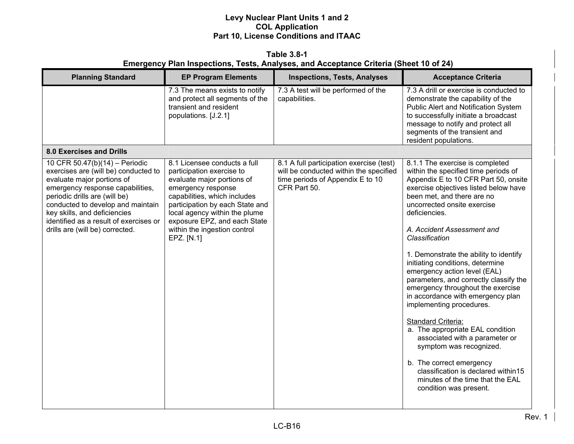**Table 3.8-1** 

# **Emergency Plan Inspections, Tests, Analyses, and Acceptance Criteria (Sheet 10 of 24)**

| 7.3 The means exists to notify<br>7.3 A test will be performed of the<br>7.3 A drill or exercise is conducted to<br>and protect all segments of the<br>capabilities.<br>demonstrate the capability of the<br>transient and resident<br>Public Alert and Notification System                                                                                                                                                                                                                                                                                                                                                                                                                                                                                                                                                                                                                                                                                                                                                                                                                                                                                                                                                                                                                                                                                                                                                                                                                                                                                                              |  |
|------------------------------------------------------------------------------------------------------------------------------------------------------------------------------------------------------------------------------------------------------------------------------------------------------------------------------------------------------------------------------------------------------------------------------------------------------------------------------------------------------------------------------------------------------------------------------------------------------------------------------------------------------------------------------------------------------------------------------------------------------------------------------------------------------------------------------------------------------------------------------------------------------------------------------------------------------------------------------------------------------------------------------------------------------------------------------------------------------------------------------------------------------------------------------------------------------------------------------------------------------------------------------------------------------------------------------------------------------------------------------------------------------------------------------------------------------------------------------------------------------------------------------------------------------------------------------------------|--|
| to successfully initiate a broadcast<br>populations. [J.2.1]<br>message to notify and protect all<br>segments of the transient and<br>resident populations.                                                                                                                                                                                                                                                                                                                                                                                                                                                                                                                                                                                                                                                                                                                                                                                                                                                                                                                                                                                                                                                                                                                                                                                                                                                                                                                                                                                                                              |  |
| 8.0 Exercises and Drills                                                                                                                                                                                                                                                                                                                                                                                                                                                                                                                                                                                                                                                                                                                                                                                                                                                                                                                                                                                                                                                                                                                                                                                                                                                                                                                                                                                                                                                                                                                                                                 |  |
| 10 CFR 50.47(b)(14) - Periodic<br>8.1.1 The exercise is completed<br>8.1 Licensee conducts a full<br>8.1 A full participation exercise (test)<br>exercises are (will be) conducted to<br>will be conducted within the specified<br>within the specified time periods of<br>participation exercise to<br>time periods of Appendix E to 10<br>evaluate major portions of<br>evaluate major portions of<br>Appendix E to 10 CFR Part 50, onsite<br>CFR Part 50.<br>emergency response<br>exercise objectives listed below have<br>emergency response capabilities,<br>capabilities, which includes<br>been met, and there are no<br>periodic drills are (will be)<br>participation by each State and<br>uncorrected onsite exercise<br>conducted to develop and maintain<br>key skills, and deficiencies<br>local agency within the plume<br>deficiencies.<br>identified as a result of exercises or<br>exposure EPZ, and each State<br>drills are (will be) corrected.<br>within the ingestion control<br>A. Accident Assessment and<br>EPZ. [N.1]<br>Classification<br>1. Demonstrate the ability to identify<br>initiating conditions, determine<br>emergency action level (EAL)<br>parameters, and correctly classify the<br>emergency throughout the exercise<br>in accordance with emergency plan<br>implementing procedures.<br>Standard Criteria:<br>a. The appropriate EAL condition<br>associated with a parameter or<br>symptom was recognized.<br>b. The correct emergency<br>classification is declared within15<br>minutes of the time that the EAL<br>condition was present. |  |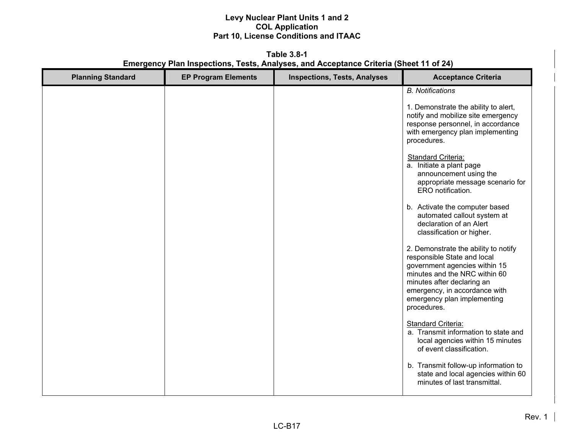**Table 3.8-1 Emergency Plan Inspections, Tests, Analyses, and Acceptance Criteria (Sheet 11 of 24)**

| <b>Planning Standard</b> | <b>EP Program Elements</b> | <b>Inspections, Tests, Analyses</b> | <b>Acceptance Criteria</b>                                                                                                                                                                                                                         |
|--------------------------|----------------------------|-------------------------------------|----------------------------------------------------------------------------------------------------------------------------------------------------------------------------------------------------------------------------------------------------|
|                          |                            |                                     | <b>B.</b> Notifications                                                                                                                                                                                                                            |
|                          |                            |                                     | 1. Demonstrate the ability to alert,<br>notify and mobilize site emergency<br>response personnel, in accordance<br>with emergency plan implementing<br>procedures.                                                                                 |
|                          |                            |                                     | Standard Criteria:<br>a. Initiate a plant page<br>announcement using the<br>appropriate message scenario for<br>ERO notification.                                                                                                                  |
|                          |                            |                                     | b. Activate the computer based<br>automated callout system at<br>declaration of an Alert<br>classification or higher.                                                                                                                              |
|                          |                            |                                     | 2. Demonstrate the ability to notify<br>responsible State and local<br>government agencies within 15<br>minutes and the NRC within 60<br>minutes after declaring an<br>emergency, in accordance with<br>emergency plan implementing<br>procedures. |
|                          |                            |                                     | Standard Criteria:<br>a. Transmit information to state and<br>local agencies within 15 minutes<br>of event classification.                                                                                                                         |
|                          |                            |                                     | b. Transmit follow-up information to<br>state and local agencies within 60<br>minutes of last transmittal.                                                                                                                                         |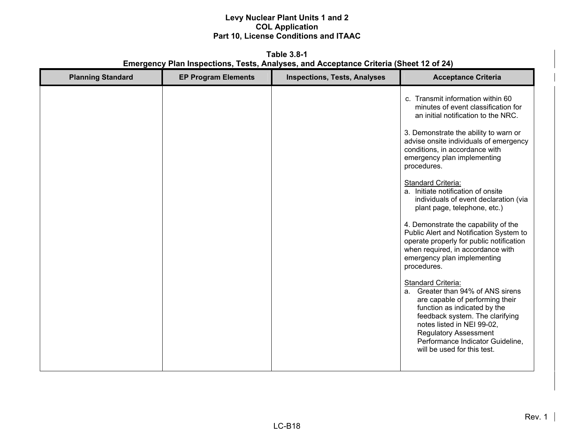**Table 3.8-1 Emergency Plan Inspections, Tests, Analyses, and Acceptance Criteria (Sheet 12 of 24)**

| <b>Planning Standard</b> | <b>EP Program Elements</b> | <b>Inspections, Tests, Analyses</b> | <b>Acceptance Criteria</b>                                                                                                                                                                                                                                                                     |
|--------------------------|----------------------------|-------------------------------------|------------------------------------------------------------------------------------------------------------------------------------------------------------------------------------------------------------------------------------------------------------------------------------------------|
|                          |                            |                                     | c. Transmit information within 60<br>minutes of event classification for<br>an initial notification to the NRC.                                                                                                                                                                                |
|                          |                            |                                     | 3. Demonstrate the ability to warn or<br>advise onsite individuals of emergency<br>conditions, in accordance with<br>emergency plan implementing<br>procedures.                                                                                                                                |
|                          |                            |                                     | Standard Criteria:<br>a. Initiate notification of onsite<br>individuals of event declaration (via<br>plant page, telephone, etc.)                                                                                                                                                              |
|                          |                            |                                     | 4. Demonstrate the capability of the<br>Public Alert and Notification System to<br>operate properly for public notification<br>when required, in accordance with<br>emergency plan implementing<br>procedures.                                                                                 |
|                          |                            |                                     | Standard Criteria:<br>a. Greater than 94% of ANS sirens<br>are capable of performing their<br>function as indicated by the<br>feedback system. The clarifying<br>notes listed in NEI 99-02,<br><b>Regulatory Assessment</b><br>Performance Indicator Guideline,<br>will be used for this test. |
|                          |                            |                                     |                                                                                                                                                                                                                                                                                                |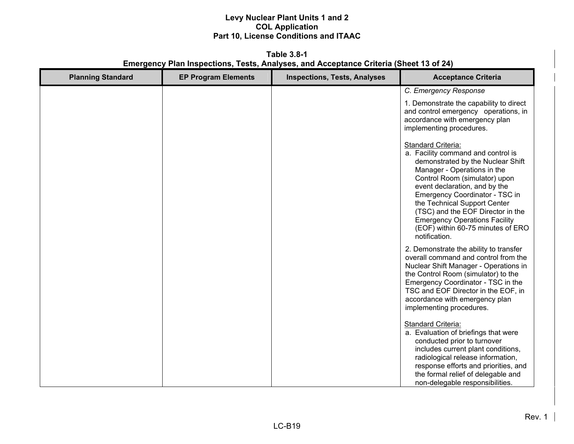**Table 3.8-1 Emergency Plan Inspections, Tests, Analyses, and Acceptance Criteria (Sheet 13 of 24)**

| <b>Planning Standard</b> | <b>EP Program Elements</b> | <b>Inspections, Tests, Analyses</b> | <b>Acceptance Criteria</b>                                                                                                                                                                                                                                                                                                                                                                          |
|--------------------------|----------------------------|-------------------------------------|-----------------------------------------------------------------------------------------------------------------------------------------------------------------------------------------------------------------------------------------------------------------------------------------------------------------------------------------------------------------------------------------------------|
|                          |                            |                                     | C. Emergency Response                                                                                                                                                                                                                                                                                                                                                                               |
|                          |                            |                                     | 1. Demonstrate the capability to direct<br>and control emergency operations, in<br>accordance with emergency plan<br>implementing procedures.                                                                                                                                                                                                                                                       |
|                          |                            |                                     | Standard Criteria:<br>a. Facility command and control is<br>demonstrated by the Nuclear Shift<br>Manager - Operations in the<br>Control Room (simulator) upon<br>event declaration, and by the<br>Emergency Coordinator - TSC in<br>the Technical Support Center<br>(TSC) and the EOF Director in the<br><b>Emergency Operations Facility</b><br>(EOF) within 60-75 minutes of ERO<br>notification. |
|                          |                            |                                     | 2. Demonstrate the ability to transfer<br>overall command and control from the<br>Nuclear Shift Manager - Operations in<br>the Control Room (simulator) to the<br>Emergency Coordinator - TSC in the<br>TSC and EOF Director in the EOF, in<br>accordance with emergency plan<br>implementing procedures.                                                                                           |
|                          |                            |                                     | Standard Criteria:<br>a. Evaluation of briefings that were<br>conducted prior to turnover<br>includes current plant conditions,<br>radiological release information,<br>response efforts and priorities, and<br>the formal relief of delegable and<br>non-delegable responsibilities.                                                                                                               |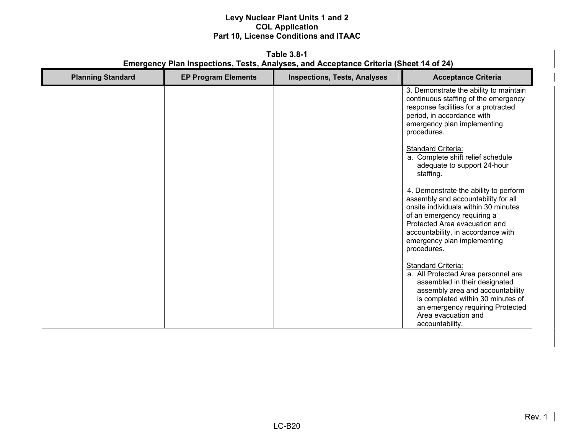**Table 3.8-1 Emergency Plan Inspections, Tests, Analyses, and Acceptance Criteria (Sheet 14 of 24)**

| <b>Planning Standard</b> | <b>EP Program Elements</b> | <b>Inspections, Tests, Analyses</b> | <b>Acceptance Criteria</b>                                                                                                                                                                                                                                               |
|--------------------------|----------------------------|-------------------------------------|--------------------------------------------------------------------------------------------------------------------------------------------------------------------------------------------------------------------------------------------------------------------------|
|                          |                            |                                     | 3. Demonstrate the ability to maintain<br>continuous staffing of the emergency<br>response facilities for a protracted<br>period, in accordance with<br>emergency plan implementing<br>procedures.                                                                       |
|                          |                            |                                     | <b>Standard Criteria:</b><br>a. Complete shift relief schedule<br>adequate to support 24-hour<br>staffing.                                                                                                                                                               |
|                          |                            |                                     | 4. Demonstrate the ability to perform<br>assembly and accountability for all<br>onsite individuals within 30 minutes<br>of an emergency requiring a<br>Protected Area evacuation and<br>accountability, in accordance with<br>emergency plan implementing<br>procedures. |
|                          |                            |                                     | Standard Criteria:<br>a. All Protected Area personnel are<br>assembled in their designated<br>assembly area and accountability<br>is completed within 30 minutes of<br>an emergency requiring Protected<br>Area evacuation and<br>accountability.                        |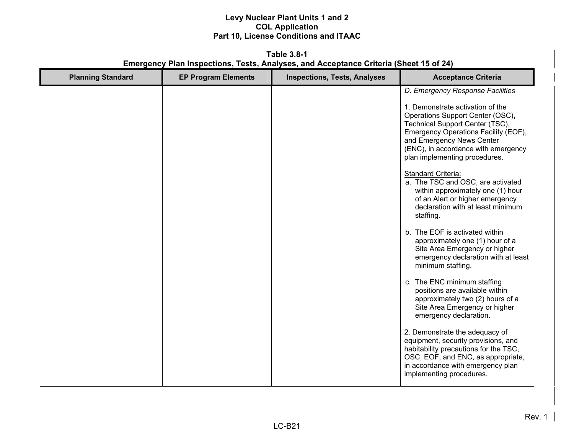**Table 3.8-1 Emergency Plan Inspections, Tests, Analyses, and Acceptance Criteria (Sheet 15 of 24)**

| <b>Planning Standard</b> | <b>EP Program Elements</b> | <b>Inspections, Tests, Analyses</b> | <b>Acceptance Criteria</b>                                                                                                                                                                                                                           |
|--------------------------|----------------------------|-------------------------------------|------------------------------------------------------------------------------------------------------------------------------------------------------------------------------------------------------------------------------------------------------|
|                          |                            |                                     | D. Emergency Response Facilities                                                                                                                                                                                                                     |
|                          |                            |                                     | 1. Demonstrate activation of the<br>Operations Support Center (OSC),<br>Technical Support Center (TSC),<br>Emergency Operations Facility (EOF),<br>and Emergency News Center<br>(ENC), in accordance with emergency<br>plan implementing procedures. |
|                          |                            |                                     | Standard Criteria:<br>a. The TSC and OSC, are activated<br>within approximately one (1) hour<br>of an Alert or higher emergency<br>declaration with at least minimum<br>staffing.                                                                    |
|                          |                            |                                     | b. The EOF is activated within<br>approximately one (1) hour of a<br>Site Area Emergency or higher<br>emergency declaration with at least<br>minimum staffing.                                                                                       |
|                          |                            |                                     | c. The ENC minimum staffing<br>positions are available within<br>approximately two (2) hours of a<br>Site Area Emergency or higher<br>emergency declaration.                                                                                         |
|                          |                            |                                     | 2. Demonstrate the adequacy of<br>equipment, security provisions, and<br>habitability precautions for the TSC,<br>OSC, EOF, and ENC, as appropriate,<br>in accordance with emergency plan<br>implementing procedures.                                |

Rev. 1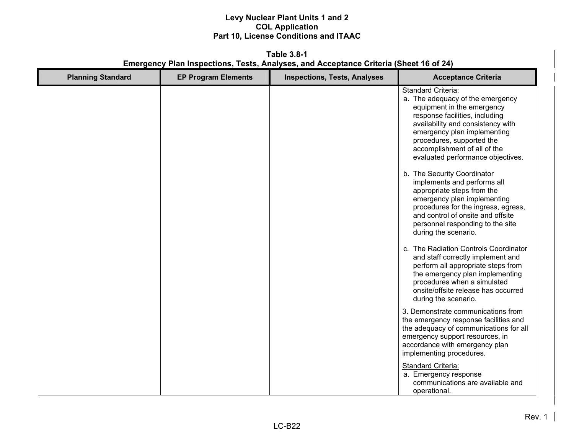**Table 3.8-1 Emergency Plan Inspections, Tests, Analyses, and Acceptance Criteria (Sheet 16 of 24)**

| <b>Planning Standard</b> | <b>EP Program Elements</b> | <b>Inspections, Tests, Analyses</b> | <b>Acceptance Criteria</b>                                                                                                                                                                                                                                                                   |
|--------------------------|----------------------------|-------------------------------------|----------------------------------------------------------------------------------------------------------------------------------------------------------------------------------------------------------------------------------------------------------------------------------------------|
|                          |                            |                                     | Standard Criteria:<br>a. The adequacy of the emergency<br>equipment in the emergency<br>response facilities, including<br>availability and consistency with<br>emergency plan implementing<br>procedures, supported the<br>accomplishment of all of the<br>evaluated performance objectives. |
|                          |                            |                                     | b. The Security Coordinator<br>implements and performs all<br>appropriate steps from the<br>emergency plan implementing<br>procedures for the ingress, egress,<br>and control of onsite and offsite<br>personnel responding to the site<br>during the scenario.                              |
|                          |                            |                                     | c. The Radiation Controls Coordinator<br>and staff correctly implement and<br>perform all appropriate steps from<br>the emergency plan implementing<br>procedures when a simulated<br>onsite/offsite release has occurred<br>during the scenario.                                            |
|                          |                            |                                     | 3. Demonstrate communications from<br>the emergency response facilities and<br>the adequacy of communications for all<br>emergency support resources, in<br>accordance with emergency plan<br>implementing procedures.                                                                       |
|                          |                            |                                     | Standard Criteria:<br>a. Emergency response<br>communications are available and<br>operational.                                                                                                                                                                                              |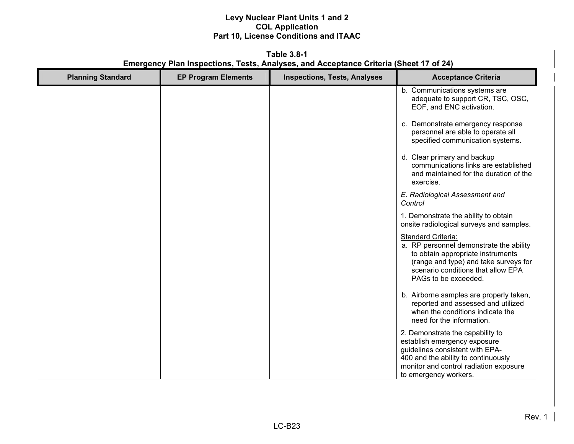**Table 3.8-1 Emergency Plan Inspections, Tests, Analyses, and Acceptance Criteria (Sheet 17 of 24)**

| <b>Planning Standard</b> | <b>EP Program Elements</b> | <b>Inspections, Tests, Analyses</b> | <b>Acceptance Criteria</b>                                                                                                                                                                                       |
|--------------------------|----------------------------|-------------------------------------|------------------------------------------------------------------------------------------------------------------------------------------------------------------------------------------------------------------|
|                          |                            |                                     | b. Communications systems are<br>adequate to support CR, TSC, OSC,<br>EOF, and ENC activation.                                                                                                                   |
|                          |                            |                                     | c. Demonstrate emergency response<br>personnel are able to operate all<br>specified communication systems.                                                                                                       |
|                          |                            |                                     | d. Clear primary and backup<br>communications links are established<br>and maintained for the duration of the<br>exercise.                                                                                       |
|                          |                            |                                     | E. Radiological Assessment and<br>Control                                                                                                                                                                        |
|                          |                            |                                     | 1. Demonstrate the ability to obtain<br>onsite radiological surveys and samples.                                                                                                                                 |
|                          |                            |                                     | <b>Standard Criteria:</b><br>a. RP personnel demonstrate the ability<br>to obtain appropriate instruments<br>(range and type) and take surveys for<br>scenario conditions that allow EPA<br>PAGs to be exceeded. |
|                          |                            |                                     | b. Airborne samples are properly taken,<br>reported and assessed and utilized<br>when the conditions indicate the<br>need for the information.                                                                   |
|                          |                            |                                     | 2. Demonstrate the capability to<br>establish emergency exposure<br>guidelines consistent with EPA-<br>400 and the ability to continuously<br>monitor and control radiation exposure<br>to emergency workers.    |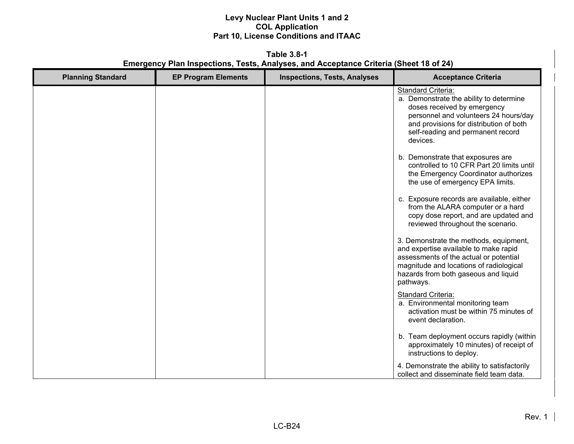**Table 3.8-1 Emergency Plan Inspections, Tests, Analyses, and Acceptance Criteria (Sheet 18 of 24)**

| <b>Planning Standard</b> | <b>EP Program Elements</b> | <b>Inspections, Tests, Analyses</b> | <b>Acceptance Criteria</b>                                                                                                                                                                                                        |
|--------------------------|----------------------------|-------------------------------------|-----------------------------------------------------------------------------------------------------------------------------------------------------------------------------------------------------------------------------------|
|                          |                            |                                     | Standard Criteria:<br>a. Demonstrate the ability to determine<br>doses received by emergency<br>personnel and volunteers 24 hours/day<br>and provisions for distribution of both<br>self-reading and permanent record<br>devices. |
|                          |                            |                                     | b. Demonstrate that exposures are<br>controlled to 10 CFR Part 20 limits until<br>the Emergency Coordinator authorizes<br>the use of emergency EPA limits.                                                                        |
|                          |                            |                                     | c. Exposure records are available, either<br>from the ALARA computer or a hard<br>copy dose report, and are updated and<br>reviewed throughout the scenario.                                                                      |
|                          |                            |                                     | 3. Demonstrate the methods, equipment,<br>and expertise available to make rapid<br>assessments of the actual or potential<br>magnitude and locations of radiological<br>hazards from both gaseous and liquid<br>pathways.         |
|                          |                            |                                     | Standard Criteria:<br>a. Environmental monitoring team<br>activation must be within 75 minutes of<br>event declaration.                                                                                                           |
|                          |                            |                                     | b. Team deployment occurs rapidly (within<br>approximately 10 minutes) of receipt of<br>instructions to deploy.                                                                                                                   |
|                          |                            |                                     | 4. Demonstrate the ability to satisfactorily<br>collect and disseminate field team data.                                                                                                                                          |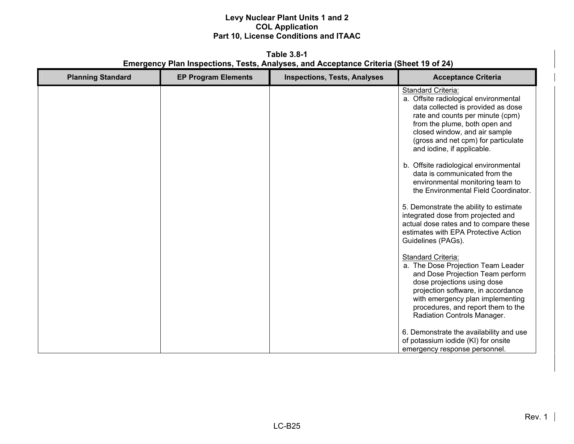**Table 3.8-1 Emergency Plan Inspections, Tests, Analyses, and Acceptance Criteria (Sheet 19 of 24)**

| <b>Planning Standard</b> | <b>EP Program Elements</b> | <b>Inspections, Tests, Analyses</b> | <b>Acceptance Criteria</b>                                                                                                                                                                                                                                                   |
|--------------------------|----------------------------|-------------------------------------|------------------------------------------------------------------------------------------------------------------------------------------------------------------------------------------------------------------------------------------------------------------------------|
|                          |                            |                                     | Standard Criteria:<br>a. Offsite radiological environmental<br>data collected is provided as dose<br>rate and counts per minute (cpm)<br>from the plume, both open and<br>closed window, and air sample<br>(gross and net cpm) for particulate<br>and iodine, if applicable. |
|                          |                            |                                     | b. Offsite radiological environmental<br>data is communicated from the<br>environmental monitoring team to<br>the Environmental Field Coordinator.                                                                                                                           |
|                          |                            |                                     | 5. Demonstrate the ability to estimate<br>integrated dose from projected and<br>actual dose rates and to compare these<br>estimates with EPA Protective Action<br>Guidelines (PAGs).                                                                                         |
|                          |                            |                                     | Standard Criteria:<br>a. The Dose Projection Team Leader<br>and Dose Projection Team perform<br>dose projections using dose<br>projection software, in accordance<br>with emergency plan implementing<br>procedures, and report them to the<br>Radiation Controls Manager.   |
|                          |                            |                                     | 6. Demonstrate the availability and use<br>of potassium iodide (KI) for onsite<br>emergency response personnel.                                                                                                                                                              |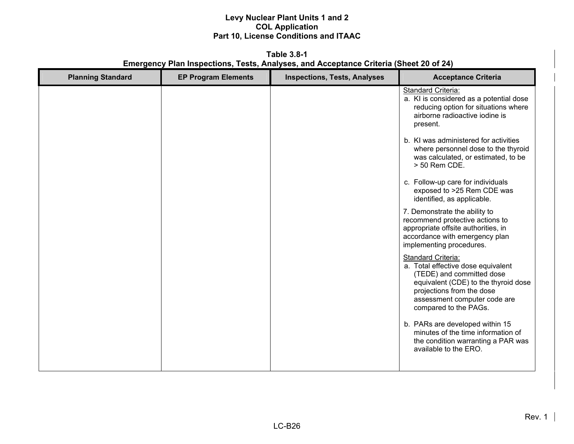**Table 3.8-1 Emergency Plan Inspections, Tests, Analyses, and Acceptance Criteria (Sheet 20 of 24)**

| <b>Planning Standard</b> | <b>EP Program Elements</b> | <b>Inspections, Tests, Analyses</b> | <b>Acceptance Criteria</b>                                                                                                                                                                                          |
|--------------------------|----------------------------|-------------------------------------|---------------------------------------------------------------------------------------------------------------------------------------------------------------------------------------------------------------------|
|                          |                            |                                     | Standard Criteria:<br>a. KI is considered as a potential dose<br>reducing option for situations where<br>airborne radioactive iodine is<br>present.                                                                 |
|                          |                            |                                     | b. KI was administered for activities<br>where personnel dose to the thyroid<br>was calculated, or estimated, to be<br>> 50 Rem CDE.                                                                                |
|                          |                            |                                     | c. Follow-up care for individuals<br>exposed to >25 Rem CDE was<br>identified, as applicable.                                                                                                                       |
|                          |                            |                                     | 7. Demonstrate the ability to<br>recommend protective actions to<br>appropriate offsite authorities, in<br>accordance with emergency plan<br>implementing procedures.                                               |
|                          |                            |                                     | Standard Criteria:<br>a. Total effective dose equivalent<br>(TEDE) and committed dose<br>equivalent (CDE) to the thyroid dose<br>projections from the dose<br>assessment computer code are<br>compared to the PAGs. |
|                          |                            |                                     | b. PARs are developed within 15<br>minutes of the time information of<br>the condition warranting a PAR was<br>available to the ERO.                                                                                |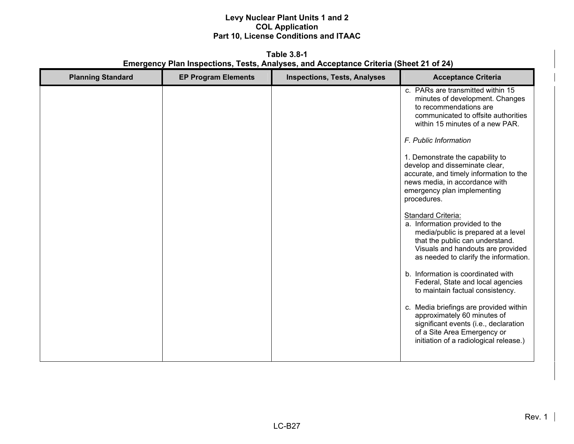**Table 3.8-1 Emergency Plan Inspections, Tests, Analyses, and Acceptance Criteria (Sheet 21 of 24)**

| <b>Planning Standard</b> | <b>EP Program Elements</b> | <b>Inspections, Tests, Analyses</b> | <b>Acceptance Criteria</b>                                                                                                                                                                                                                                                                                                                                                                                               |
|--------------------------|----------------------------|-------------------------------------|--------------------------------------------------------------------------------------------------------------------------------------------------------------------------------------------------------------------------------------------------------------------------------------------------------------------------------------------------------------------------------------------------------------------------|
|                          |                            |                                     | c. PARs are transmitted within 15<br>minutes of development. Changes<br>to recommendations are<br>communicated to offsite authorities<br>within 15 minutes of a new PAR.<br>F. Public Information<br>1. Demonstrate the capability to<br>develop and disseminate clear,<br>accurate, and timely information to the<br>news media, in accordance with<br>emergency plan implementing<br>procedures.<br>Standard Criteria: |
|                          |                            |                                     | a. Information provided to the<br>media/public is prepared at a level<br>that the public can understand.<br>Visuals and handouts are provided<br>as needed to clarify the information.                                                                                                                                                                                                                                   |
|                          |                            |                                     | b. Information is coordinated with<br>Federal, State and local agencies<br>to maintain factual consistency.                                                                                                                                                                                                                                                                                                              |
|                          |                            |                                     | c. Media briefings are provided within<br>approximately 60 minutes of<br>significant events (i.e., declaration<br>of a Site Area Emergency or<br>initiation of a radiological release.)                                                                                                                                                                                                                                  |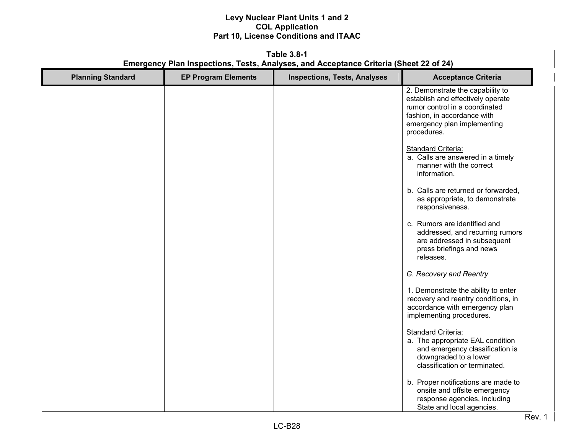**Table 3.8-1 Emergency Plan Inspections, Tests, Analyses, and Acceptance Criteria (Sheet 22 of 24)**

| <b>Planning Standard</b> | <b>EP Program Elements</b> | <b>Inspections, Tests, Analyses</b> | <b>Acceptance Criteria</b>                                                                                                                                                           |
|--------------------------|----------------------------|-------------------------------------|--------------------------------------------------------------------------------------------------------------------------------------------------------------------------------------|
|                          |                            |                                     | 2. Demonstrate the capability to<br>establish and effectively operate<br>rumor control in a coordinated<br>fashion, in accordance with<br>emergency plan implementing<br>procedures. |
|                          |                            |                                     | Standard Criteria:<br>a. Calls are answered in a timely<br>manner with the correct<br>information.                                                                                   |
|                          |                            |                                     | b. Calls are returned or forwarded,<br>as appropriate, to demonstrate<br>responsiveness.                                                                                             |
|                          |                            |                                     | c. Rumors are identified and<br>addressed, and recurring rumors<br>are addressed in subsequent<br>press briefings and news<br>releases.                                              |
|                          |                            |                                     | G. Recovery and Reentry                                                                                                                                                              |
|                          |                            |                                     | 1. Demonstrate the ability to enter<br>recovery and reentry conditions, in<br>accordance with emergency plan<br>implementing procedures.                                             |
|                          |                            |                                     | Standard Criteria:<br>a. The appropriate EAL condition<br>and emergency classification is<br>downgraded to a lower<br>classification or terminated.                                  |
|                          |                            |                                     | b. Proper notifications are made to<br>onsite and offsite emergency<br>response agencies, including<br>State and local agencies.                                                     |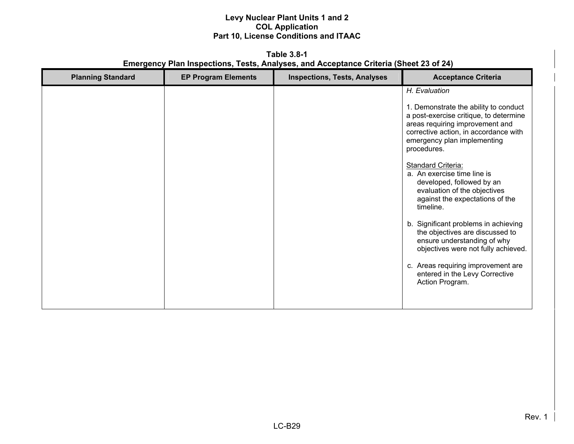**Table 3.8-1 Emergency Plan Inspections, Tests, Analyses, and Acceptance Criteria (Sheet 23 of 24)**

| <b>Planning Standard</b> | <b>EP Program Elements</b> | <b>Inspections, Tests, Analyses</b> | <b>Acceptance Criteria</b>                                                                                                                                                                                                                                                                                                                                                                                                                                                                                                                                                                                                               |
|--------------------------|----------------------------|-------------------------------------|------------------------------------------------------------------------------------------------------------------------------------------------------------------------------------------------------------------------------------------------------------------------------------------------------------------------------------------------------------------------------------------------------------------------------------------------------------------------------------------------------------------------------------------------------------------------------------------------------------------------------------------|
|                          |                            |                                     | H. Evaluation<br>1. Demonstrate the ability to conduct<br>a post-exercise critique, to determine<br>areas requiring improvement and<br>corrective action, in accordance with<br>emergency plan implementing<br>procedures.<br>Standard Criteria:<br>a. An exercise time line is<br>developed, followed by an<br>evaluation of the objectives<br>against the expectations of the<br>timeline.<br>b. Significant problems in achieving<br>the objectives are discussed to<br>ensure understanding of why<br>objectives were not fully achieved.<br>c. Areas requiring improvement are<br>entered in the Levy Corrective<br>Action Program. |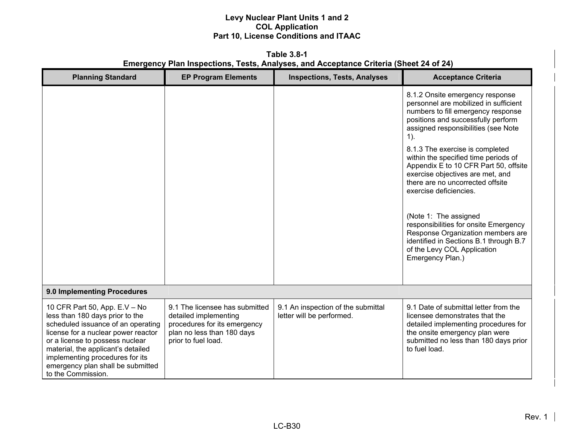**Table 3.8-1 Emergency Plan Inspections, Tests, Analyses, and Acceptance Criteria (Sheet 24 of 24)**

| <b>Planning Standard</b>                                                                                                                                                                                                                                                                                             | <b>EP Program Elements</b>                                                                                                                   | <b>Inspections, Tests, Analyses</b>                             | <b>Acceptance Criteria</b>                                                                                                                                                                                                                                                                                                                                                                                                                                                                                                                                                                                                      |
|----------------------------------------------------------------------------------------------------------------------------------------------------------------------------------------------------------------------------------------------------------------------------------------------------------------------|----------------------------------------------------------------------------------------------------------------------------------------------|-----------------------------------------------------------------|---------------------------------------------------------------------------------------------------------------------------------------------------------------------------------------------------------------------------------------------------------------------------------------------------------------------------------------------------------------------------------------------------------------------------------------------------------------------------------------------------------------------------------------------------------------------------------------------------------------------------------|
|                                                                                                                                                                                                                                                                                                                      |                                                                                                                                              |                                                                 | 8.1.2 Onsite emergency response<br>personnel are mobilized in sufficient<br>numbers to fill emergency response<br>positions and successfully perform<br>assigned responsibilities (see Note<br>$1$ ).<br>8.1.3 The exercise is completed<br>within the specified time periods of<br>Appendix E to 10 CFR Part 50, offsite<br>exercise objectives are met, and<br>there are no uncorrected offsite<br>exercise deficiencies.<br>(Note 1: The assigned<br>responsibilities for onsite Emergency<br>Response Organization members are<br>identified in Sections B.1 through B.7<br>of the Levy COL Application<br>Emergency Plan.) |
| 9.0 Implementing Procedures                                                                                                                                                                                                                                                                                          |                                                                                                                                              |                                                                 |                                                                                                                                                                                                                                                                                                                                                                                                                                                                                                                                                                                                                                 |
| 10 CFR Part 50, App. E.V - No<br>less than 180 days prior to the<br>scheduled issuance of an operating<br>license for a nuclear power reactor<br>or a license to possess nuclear<br>material, the applicant's detailed<br>implementing procedures for its<br>emergency plan shall be submitted<br>to the Commission. | 9.1 The licensee has submitted<br>detailed implementing<br>procedures for its emergency<br>plan no less than 180 days<br>prior to fuel load. | 9.1 An inspection of the submittal<br>letter will be performed. | 9.1 Date of submittal letter from the<br>licensee demonstrates that the<br>detailed implementing procedures for<br>the onsite emergency plan were<br>submitted no less than 180 days prior<br>to fuel load.                                                                                                                                                                                                                                                                                                                                                                                                                     |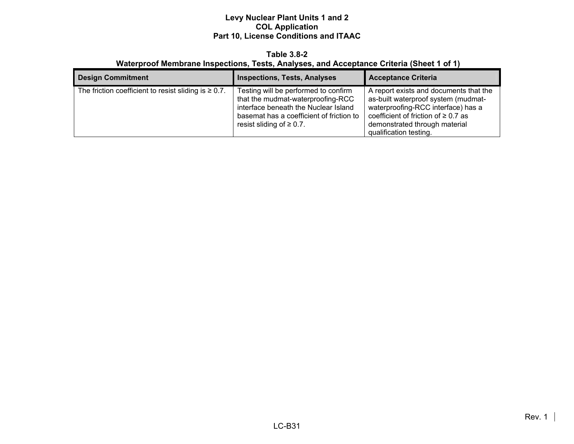#### **Table 3.8-2 Waterproof Membrane Inspections, Tests, Analyses, and Acceptance Criteria (Sheet 1 of 1)**

| <b>Design Commitment</b>                                   | <b>Inspections, Tests, Analyses</b>                                                                                                                                                             | <b>Acceptance Criteria</b>                                                                                                                                                                                                 |
|------------------------------------------------------------|-------------------------------------------------------------------------------------------------------------------------------------------------------------------------------------------------|----------------------------------------------------------------------------------------------------------------------------------------------------------------------------------------------------------------------------|
| The friction coefficient to resist sliding is $\geq 0.7$ . | Testing will be performed to confirm<br>that the mudmat-waterproofing-RCC<br>interface beneath the Nuclear Island<br>basemat has a coefficient of friction to<br>resist sliding of $\geq 0.7$ . | A report exists and documents that the<br>as-built waterproof system (mudmat-<br>waterproofing-RCC interface) has a<br>coefficient of friction of $\geq 0.7$ as<br>demonstrated through material<br>qualification testing. |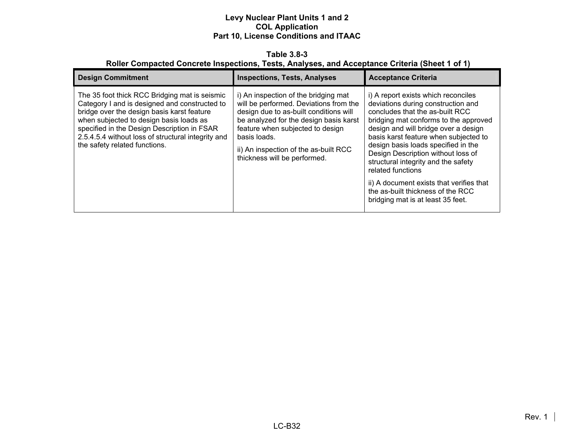**Table 3.8-3 Roller Compacted Concrete Inspections, Tests, Analyses, and Acceptance Criteria (Sheet 1 of 1)** 

| <b>Design Commitment</b>                                                                                                                                                                                                                                                                                                      | <b>Inspections, Tests, Analyses</b>                                                                                                                                                                                                                                                             | <b>Acceptance Criteria</b>                                                                                                                                                                                                                                                                                                                                                                                                                                                                            |
|-------------------------------------------------------------------------------------------------------------------------------------------------------------------------------------------------------------------------------------------------------------------------------------------------------------------------------|-------------------------------------------------------------------------------------------------------------------------------------------------------------------------------------------------------------------------------------------------------------------------------------------------|-------------------------------------------------------------------------------------------------------------------------------------------------------------------------------------------------------------------------------------------------------------------------------------------------------------------------------------------------------------------------------------------------------------------------------------------------------------------------------------------------------|
| The 35 foot thick RCC Bridging mat is seismic<br>Category I and is designed and constructed to<br>bridge over the design basis karst feature<br>when subjected to design basis loads as<br>specified in the Design Description in FSAR<br>2.5.4.5.4 without loss of structural integrity and<br>the safety related functions. | i) An inspection of the bridging mat<br>will be performed. Deviations from the<br>design due to as-built conditions will<br>be analyzed for the design basis karst<br>feature when subjected to design<br>basis loads.<br>ii) An inspection of the as-built RCC<br>thickness will be performed. | i) A report exists which reconciles<br>deviations during construction and<br>concludes that the as-built RCC<br>bridging mat conforms to the approved<br>design and will bridge over a design<br>basis karst feature when subjected to<br>design basis loads specified in the<br>Design Description without loss of<br>structural integrity and the safety<br>related functions<br>ii) A document exists that verifies that<br>the as-built thickness of the RCC<br>bridging mat is at least 35 feet. |